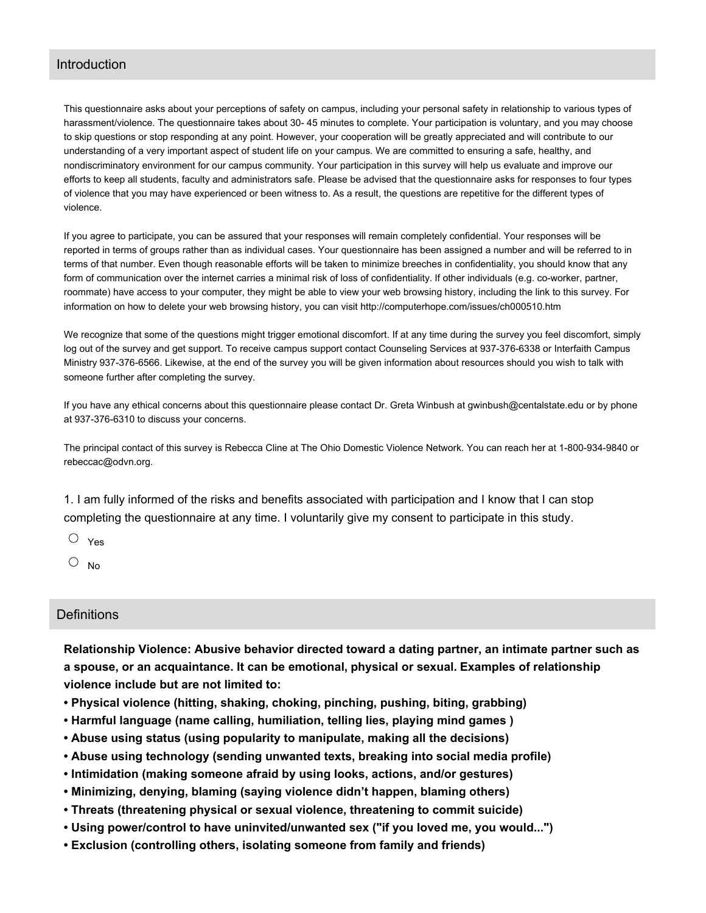#### Introduction

This questionnaire asks about your perceptions of safety on campus, including your personal safety in relationship to various types of harassment/violence. The questionnaire takes about 30- 45 minutes to complete. Your participation is voluntary, and you may choose to skip questions or stop responding at any point. However, your cooperation will be greatly appreciated and will contribute to our understanding of a very important aspect of student life on your campus. We are committed to ensuring a safe, healthy, and nondiscriminatory environment for our campus community. Your participation in this survey will help us evaluate and improve our efforts to keep all students, faculty and administrators safe. Please be advised that the questionnaire asks for responses to four types of violence that you may have experienced or been witness to. As a result, the questions are repetitive for the different types of violence.

If you agree to participate, you can be assured that your responses will remain completely confidential. Your responses will be reported in terms of groups rather than as individual cases. Your questionnaire has been assigned a number and will be referred to in terms of that number. Even though reasonable efforts will be taken to minimize breeches in confidentiality, you should know that any form of communication over the internet carries a minimal risk of loss of confidentiality. If other individuals (e.g. co-worker, partner, roommate) have access to your computer, they might be able to view your web browsing history, including the link to this survey. For information on how to delete your web browsing history, you can visit http://computerhope.com/issues/ch000510.htm

We recognize that some of the questions might trigger emotional discomfort. If at any time during the survey you feel discomfort, simply log out of the survey and get support. To receive campus support contact Counseling Services at 937-376-6338 or Interfaith Campus Ministry 937-376-6566. Likewise, at the end of the survey you will be given information about resources should you wish to talk with someone further after completing the survey.

If you have any ethical concerns about this questionnaire please contact Dr. Greta Winbush at gwinbush@centalstate.edu or by phone at 937-376-6310 to discuss your concerns.

The principal contact of this survey is Rebecca Cline at The Ohio Domestic Violence Network. You can reach her at 1-800-934-9840 or rebeccac@odvn.org.

1. I am fully informed of the risks and benefits associated with participation and I know that I can stop completing the questionnaire at any time. I voluntarily give my consent to participate in this study.

Yes

 $\circ$  No

### **Definitions**

**Relationship Violence: Abusive behavior directed toward a dating partner, an intimate partner such as a spouse, or an acquaintance. It can be emotional, physical or sexual. Examples of relationship violence include but are not limited to:**

- **• Physical violence (hitting, shaking, choking, pinching, pushing, biting, grabbing)**
- **• Harmful language (name calling, humiliation, telling lies, playing mind games )**
- **• Abuse using status (using popularity to manipulate, making all the decisions)**
- **• Abuse using technology (sending unwanted texts, breaking into social media profile)**
- **• Intimidation (making someone afraid by using looks, actions, and/or gestures)**
- **• Minimizing, denying, blaming (saying violence didn't happen, blaming others)**
- **• Threats (threatening physical or sexual violence, threatening to commit suicide)**
- **• Using power/control to have uninvited/unwanted sex ("if you loved me, you would...")**
- **• Exclusion (controlling others, isolating someone from family and friends)**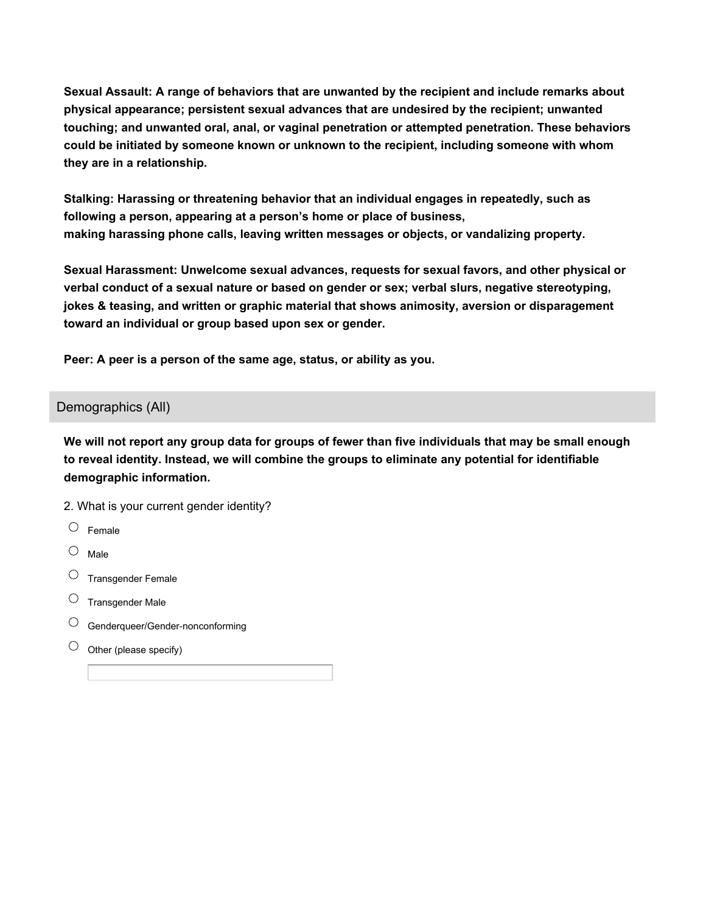**Sexual Assault: A range of behaviors that are unwanted by the recipient and include remarks about physical appearance; persistent sexual advances that are undesired by the recipient; unwanted touching; and unwanted oral, anal, or vaginal penetration or attempted penetration. These behaviors could be initiated by someone known or unknown to the recipient, including someone with whom they are in a relationship.**

**Stalking: Harassing or threatening behavior that an individual engages in repeatedly, such as following a person, appearing at a person's home or place of business, making harassing phone calls, leaving written messages or objects, or vandalizing property.**

**Sexual Harassment: Unwelcome sexual advances, requests for sexual favors, and other physical or verbal conduct of a sexual nature or based on gender or sex; verbal slurs, negative stereotyping, jokes & teasing, and written or graphic material that shows animosity, aversion or disparagement toward an individual or group based upon sex or gender.**

**Peer: A peer is a person of the same age, status, or ability as you.**

### Demographics (All)

We will not report any group data for groups of fewer than five individuals that may be small enough **to reveal identity. Instead, we will combine the groups to eliminate any potential for identifiable demographic information.**

- 2. What is your current gender identity?
- $\circ$  Female
- $\circ$  Male
- $\circlearrowright$  Transgender Female
- $\circ$  Transgender Male
- Genderqueer/Gender‐nonconforming
- $\bigcirc$ Other (please specify)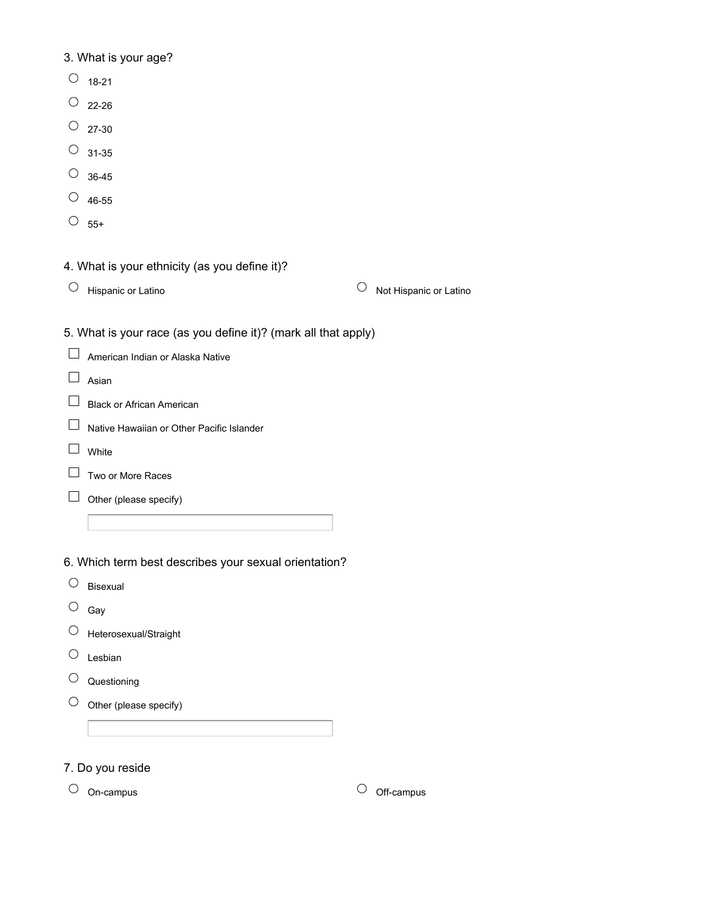# 3. What is your age?

- $\circ$  18-21
- $\overline{O}$  22-26
- $\circ$  27-30
- $\overline{O}$  31-35
- $\circ$  36-45
- $\circ$  46-55
- $\circ$  55+

# 4. What is your ethnicity (as you define it)?

 $\overline{\text{O}}$  Hispanic or Latino  $\overline{\text{O}}$  Not Hispanic or Latino

5. What is your race (as you define it)? (mark all that apply)

|  | $\Box$ American Indian or Alaska Native |  |  |  |
|--|-----------------------------------------|--|--|--|
|--|-----------------------------------------|--|--|--|

- $\Box$  Asian
- **Black or African American**
- □ Native Hawaiian or Other Pacific Islander
- $\Box$  White
- $\Box$  Two or More Races
- $\Box$  Other (please specify)

6. Which term best describes your sexual orientation?

- $\circ$  Bisexual
- $\circ$  Gay
- $\circlearrowright$  Heterosexual/Straight
- $\circlearrowright$  Lesbian
- $\circlearrowright$  Questioning
- $\circlearrowright$  Other (please specify)

7. Do you reside

 $\circ$  On-campus  $\circ$  Off-campus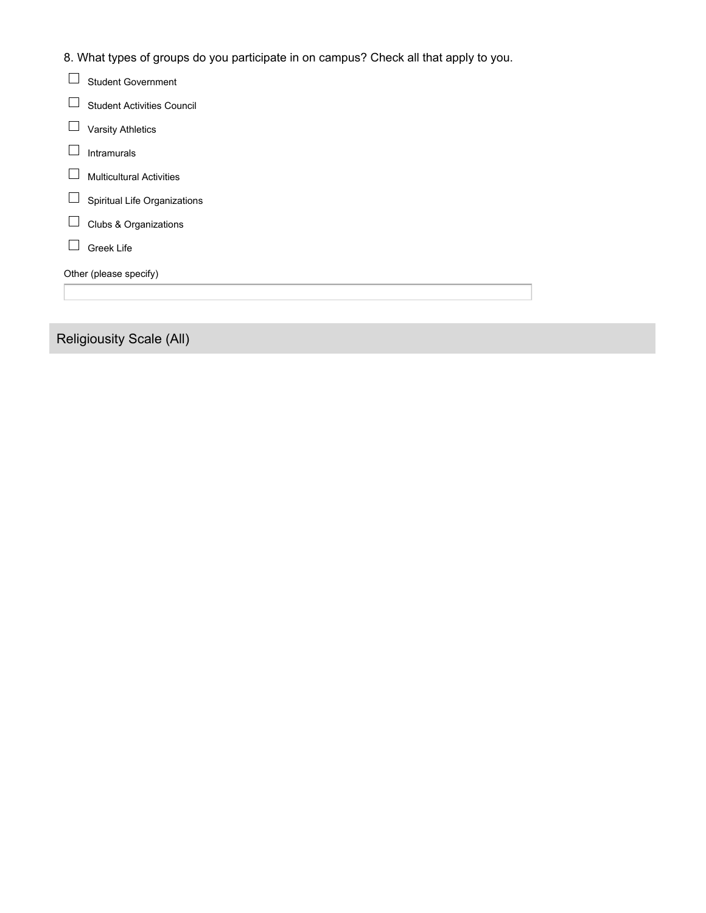8. What types of groups do you participate in on campus? Check all that apply to you.

| <b>Student Government</b>         |
|-----------------------------------|
| <b>Student Activities Council</b> |
| <b>Varsity Athletics</b>          |
| <b>Intramurals</b>                |
| <b>Multicultural Activities</b>   |
| Spiritual Life Organizations      |
| Clubs & Organizations             |
| Greek Life                        |
| Other (please specify)            |
|                                   |
|                                   |

Religiousity Scale (All)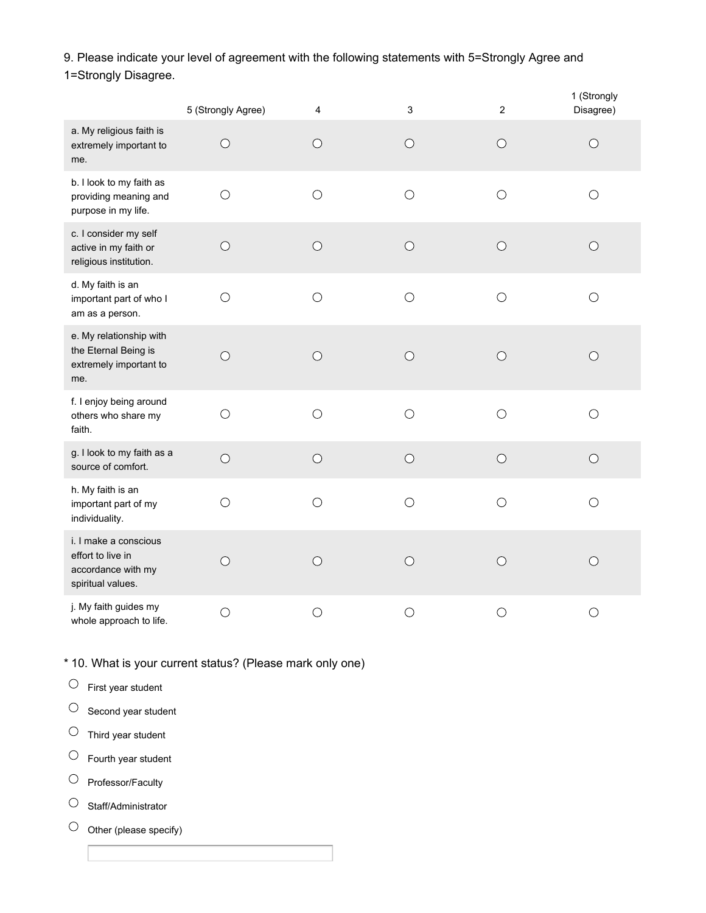9. Please indicate your level of agreement with the following statements with 5=Strongly Agree and

1=Strongly Disagree.

|                                                                                       | 5 (Strongly Agree) | 4          | $\mathsf 3$ | $\overline{2}$ | 1 (Strongly<br>Disagree) |
|---------------------------------------------------------------------------------------|--------------------|------------|-------------|----------------|--------------------------|
| a. My religious faith is<br>extremely important to<br>me.                             | $\bigcirc$         | $\bigcirc$ | $\bigcirc$  | $\bigcirc$     | $\bigcirc$               |
| b. I look to my faith as<br>providing meaning and<br>purpose in my life.              | $\bigcirc$         | $\bigcirc$ | $\bigcirc$  | $\bigcirc$     | $\bigcirc$               |
| c. I consider my self<br>active in my faith or<br>religious institution.              | $\bigcirc$         | $\bigcirc$ | $\bigcirc$  | $\bigcirc$     | $\bigcirc$               |
| d. My faith is an<br>important part of who I<br>am as a person.                       | $\bigcirc$         | $\bigcirc$ | $\bigcirc$  | $\bigcirc$     | $\bigcirc$               |
| e. My relationship with<br>the Eternal Being is<br>extremely important to<br>me.      | $\bigcirc$         | $\bigcirc$ | $\bigcirc$  | $\bigcirc$     | $\bigcirc$               |
| f. I enjoy being around<br>others who share my<br>faith.                              | $\bigcirc$         | $\bigcirc$ | $\bigcirc$  | $\bigcirc$     | $\bigcirc$               |
| g. I look to my faith as a<br>source of comfort.                                      | $\bigcirc$         | $\bigcirc$ | $\bigcirc$  | $\bigcirc$     | $\bigcirc$               |
| h. My faith is an<br>important part of my<br>individuality.                           | $\bigcirc$         | $\bigcirc$ | $\bigcirc$  | $\bigcirc$     | $\bigcirc$               |
| i. I make a conscious<br>effort to live in<br>accordance with my<br>spiritual values. | $\bigcirc$         | $\circ$    | $\circ$     | $\circ$        | $\bigcirc$               |
| j. My faith guides my<br>whole approach to life.                                      | $\bigcirc$         | $\bigcirc$ | $\bigcirc$  | $\bigcirc$     | $\bigcirc$               |

\* 10. What is your current status? (Please mark only one)

 $\circlearrowright$  First year student

 $\circ$  Second year student

 $\circlearrowright$  Third year student

 $\circlearrowright$  Fourth year student

 $\circlearrowright$  Professor/Faculty

 $\circlearrowright$  Staff/Administrator

 $\circlearrowright$  Other (please specify)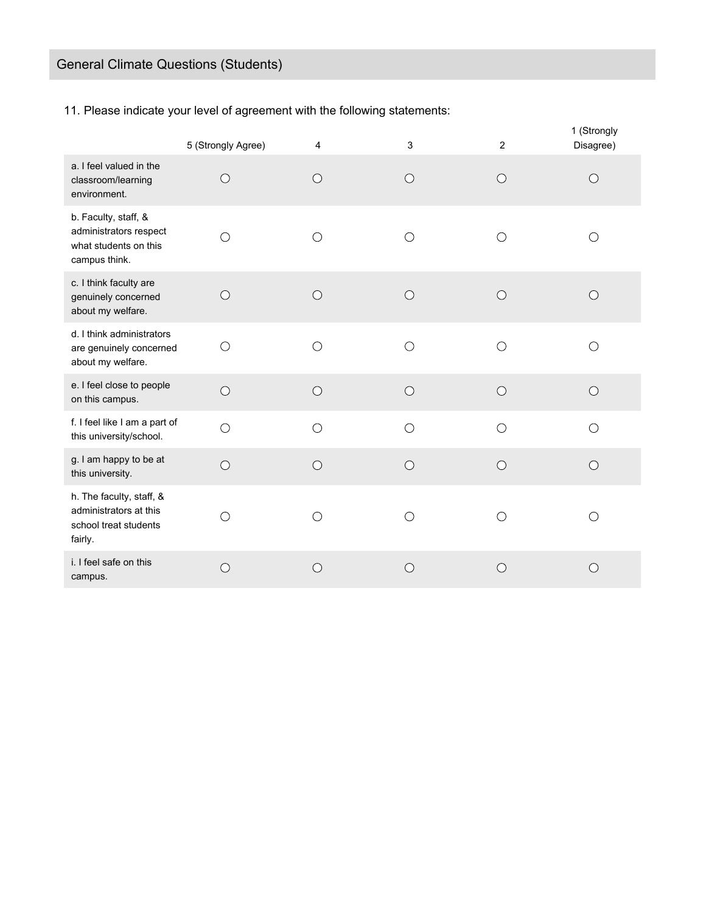11. Please indicate your level of agreement with the following statements:

|                                                                                          | 5 (Strongly Agree) | 4               | 3          | 2          | 1 (Strongly<br>Disagree) |
|------------------------------------------------------------------------------------------|--------------------|-----------------|------------|------------|--------------------------|
| a. I feel valued in the<br>classroom/learning<br>environment.                            | $\bigcirc$         | $\bigcirc$      | $\bigcirc$ | $\bigcirc$ | $\bigcirc$               |
| b. Faculty, staff, &<br>administrators respect<br>what students on this<br>campus think. | ◯                  | $\left(\right)$ | O          | O          | O                        |
| c. I think faculty are<br>genuinely concerned<br>about my welfare.                       | $\bigcirc$         | $\bigcirc$      | $\bigcirc$ | $\bigcirc$ | $\bigcirc$               |
| d. I think administrators<br>are genuinely concerned<br>about my welfare.                | $\bigcirc$         | ◯               | $\bigcirc$ | $\bigcirc$ | $\bigcirc$               |
| e. I feel close to people<br>on this campus.                                             | $\bigcirc$         | $\bigcirc$      | $\bigcirc$ | $\bigcirc$ | $\bigcirc$               |
| f. I feel like I am a part of<br>this university/school.                                 | $\bigcirc$         | $\bigcirc$      | $\bigcirc$ | $\bigcirc$ | $\bigcirc$               |
| g. I am happy to be at<br>this university.                                               | $\bigcirc$         | $\bigcirc$      | $\bigcirc$ | $\bigcirc$ | $\bigcirc$               |
| h. The faculty, staff, &<br>administrators at this<br>school treat students<br>fairly.   | $\bigcirc$         | $\bigcirc$      | $\bigcirc$ | $\bigcirc$ | $\bigcirc$               |
| i. I feel safe on this<br>campus.                                                        | $\bigcirc$         | $\bigcirc$      | $\bigcirc$ | $\bigcirc$ | $\bigcirc$               |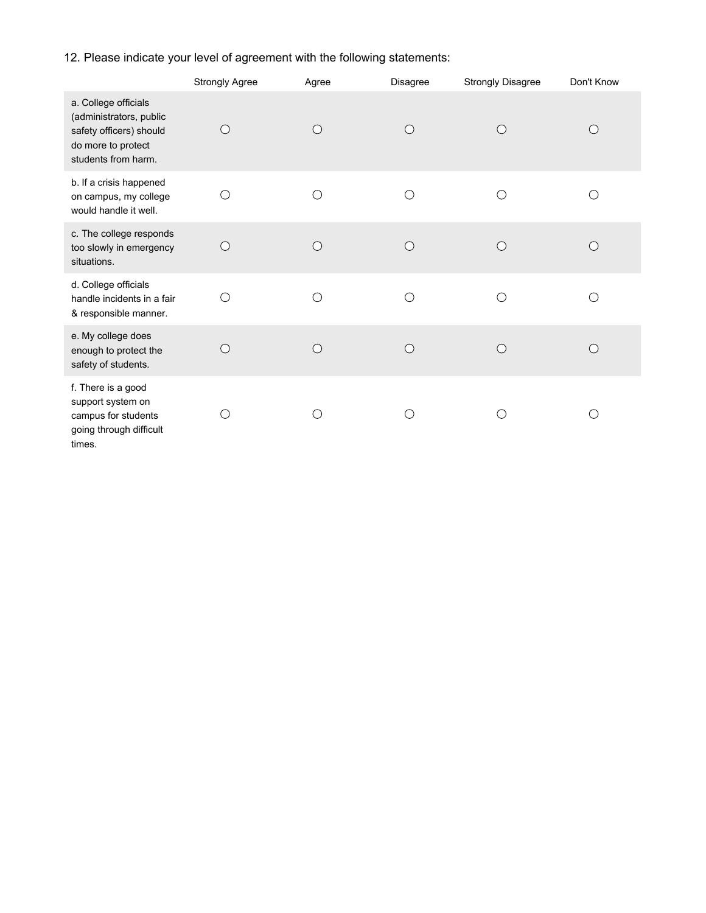# 12. Please indicate your level of agreement with the following statements:

|                                                                                                                         | <b>Strongly Agree</b> | Agree                   | Disagree                 | <b>Strongly Disagree</b> | Don't Know |
|-------------------------------------------------------------------------------------------------------------------------|-----------------------|-------------------------|--------------------------|--------------------------|------------|
| a. College officials<br>(administrators, public<br>safety officers) should<br>do more to protect<br>students from harm. | $\bigcirc$            | $\bigcirc$              | $\bigcirc$               | $\bigcirc$               | $\bigcirc$ |
| b. If a crisis happened<br>on campus, my college<br>would handle it well.                                               | О                     | С                       | O                        | С                        | ∩          |
| c. The college responds<br>too slowly in emergency<br>situations.                                                       | $\bigcirc$            | $\bigcirc$              | O                        | $\bigcirc$               | $\bigcirc$ |
| d. College officials<br>handle incidents in a fair<br>& responsible manner.                                             | $\bigcirc$            | ◯                       | C                        | ◯                        | ∩          |
| e. My college does<br>enough to protect the<br>safety of students.                                                      | $\bigcirc$            | $\overline{C}$          | ◯                        | $\bigcap$                | ∩          |
| f. There is a good<br>support system on<br>campus for students<br>going through difficult<br>times.                     | C                     | $\widehat{\phantom{a}}$ | $\overline{\phantom{a}}$ |                          | Ω          |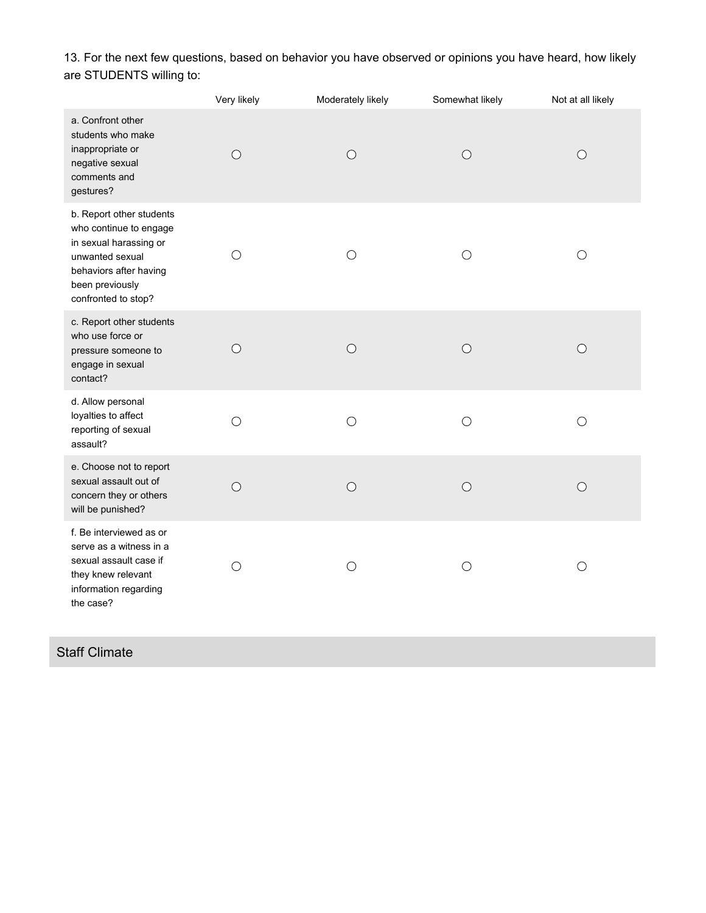13. For the next few questions, based on behavior you have observed or opinions you have heard, how likely are STUDENTS willing to:

|                                                                                                                                                                     | Very likely | Moderately likely | Somewhat likely | Not at all likely |
|---------------------------------------------------------------------------------------------------------------------------------------------------------------------|-------------|-------------------|-----------------|-------------------|
| a. Confront other<br>students who make<br>inappropriate or<br>negative sexual<br>comments and<br>gestures?                                                          | $\bigcirc$  | $\bigcirc$        | $\bigcirc$      | $\bigcirc$        |
| b. Report other students<br>who continue to engage<br>in sexual harassing or<br>unwanted sexual<br>behaviors after having<br>been previously<br>confronted to stop? | $\bigcirc$  | $\bigcirc$        | $\bigcirc$      | $\bigcirc$        |
| c. Report other students<br>who use force or<br>pressure someone to<br>engage in sexual<br>contact?                                                                 | $\bigcirc$  | $\bigcirc$        | $\bigcirc$      | $\bigcirc$        |
| d. Allow personal<br>loyalties to affect<br>reporting of sexual<br>assault?                                                                                         | $\bigcirc$  | $\bigcirc$        | $\bigcirc$      | $\bigcirc$        |
| e. Choose not to report<br>sexual assault out of<br>concern they or others<br>will be punished?                                                                     | $\bigcirc$  | $\circ$           | $\bigcirc$      | $\bigcirc$        |
| f. Be interviewed as or<br>serve as a witness in a<br>sexual assault case if<br>they knew relevant<br>information regarding<br>the case?                            | О           | O                 | $\bigcirc$      | $\bigcirc$        |

# Staff Climate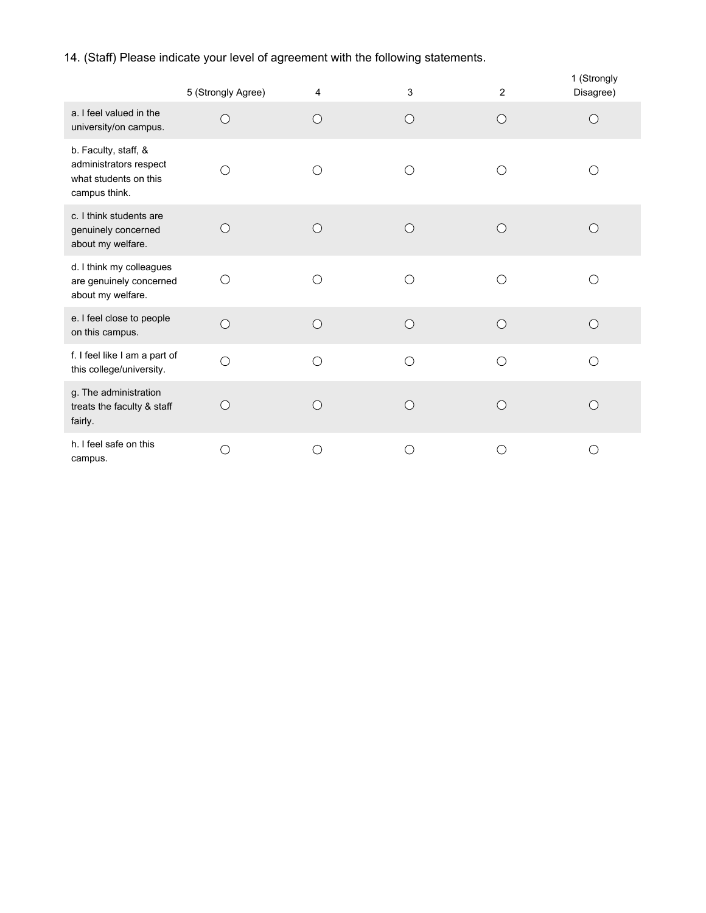14. (Staff) Please indicate your level of agreement with the following statements.

|                                                                                          | 5 (Strongly Agree) | 4          | 3          | 2          | 1 (Strongly<br>Disagree) |
|------------------------------------------------------------------------------------------|--------------------|------------|------------|------------|--------------------------|
| a. I feel valued in the<br>university/on campus.                                         | ◯                  | $\bigcirc$ | $\bigcirc$ | $\bigcirc$ | $\left(\right)$          |
| b. Faculty, staff, &<br>administrators respect<br>what students on this<br>campus think. | ◯                  | ◯          | ∩          | ∩          |                          |
| c. I think students are<br>genuinely concerned<br>about my welfare.                      | ∩                  | ∩          | ∩          | $\bigcap$  |                          |
| d. I think my colleagues<br>are genuinely concerned<br>about my welfare.                 | ◯                  | ∩          | ∩          | ∩          |                          |
| e. I feel close to people<br>on this campus.                                             | $\bigcirc$         | $\bigcirc$ | $\bigcirc$ | $\bigcirc$ | $\bigcirc$               |
| f. I feel like I am a part of<br>this college/university.                                | $\bigcirc$         | $\bigcirc$ | ∩          | ◯          | ∩                        |
| g. The administration<br>treats the faculty & staff<br>fairly.                           | ∩                  | ∩          | $\bigcap$  | ◯          | $($ )                    |
| h. I feel safe on this<br>campus.                                                        |                    | ◯          | ∩          | ◯          | ∩                        |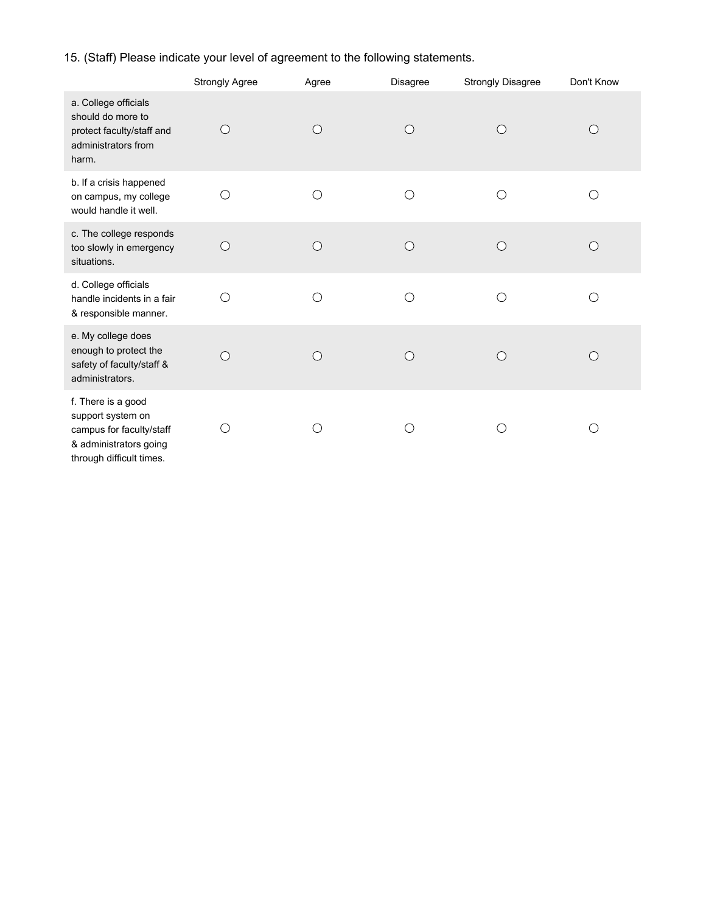# 15. (Staff) Please indicate your level of agreement to the following statements.

|                                                                                                                           | <b>Strongly Agree</b> | Agree      | <b>Disagree</b> | <b>Strongly Disagree</b> | Don't Know |
|---------------------------------------------------------------------------------------------------------------------------|-----------------------|------------|-----------------|--------------------------|------------|
| a. College officials<br>should do more to<br>protect faculty/staff and<br>administrators from<br>harm.                    | $\bigcirc$            | $\bigcirc$ | ∩               | ∩                        | $\bigcirc$ |
| b. If a crisis happened<br>on campus, my college<br>would handle it well.                                                 | O                     | ∩          | O               | О                        | ∩          |
| c. The college responds<br>too slowly in emergency<br>situations.                                                         | $\bigcirc$            | $\bigcirc$ | $\bigcirc$      | $\bigcirc$               | ∩          |
| d. College officials<br>handle incidents in a fair<br>& responsible manner.                                               | ∩                     |            | ∩               | ◯                        | ∩          |
| e. My college does<br>enough to protect the<br>safety of faculty/staff &<br>administrators.                               | $\bigcirc$            | $\bigcirc$ | $\bigcirc$      | ◯                        | ∩          |
| f. There is a good<br>support system on<br>campus for faculty/staff<br>& administrators going<br>through difficult times. | ◯                     |            |                 |                          | ◯          |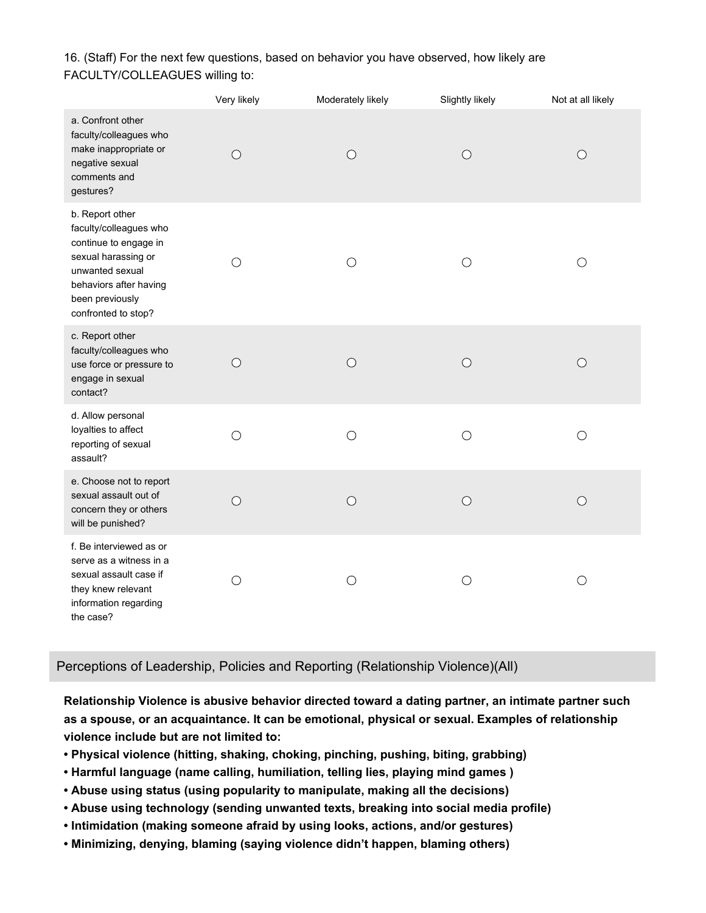16. (Staff) For the next few questions, based on behavior you have observed, how likely are FACULTY/COLLEAGUES willing to:

|                                                                                                                                                                                  | Very likely | Moderately likely | Slightly likely | Not at all likely |
|----------------------------------------------------------------------------------------------------------------------------------------------------------------------------------|-------------|-------------------|-----------------|-------------------|
| a. Confront other<br>faculty/colleagues who<br>make inappropriate or<br>negative sexual<br>comments and<br>gestures?                                                             | $\bigcirc$  | $\bigcirc$        | $\bigcirc$      | $\bigcirc$        |
| b. Report other<br>faculty/colleagues who<br>continue to engage in<br>sexual harassing or<br>unwanted sexual<br>behaviors after having<br>been previously<br>confronted to stop? | $\bigcirc$  | $\bigcirc$        | $\bigcirc$      | $\bigcirc$        |
| c. Report other<br>faculty/colleagues who<br>use force or pressure to<br>engage in sexual<br>contact?                                                                            | $\bigcirc$  | $\bigcirc$        | $\bigcirc$      | $\bigcirc$        |
| d. Allow personal<br>loyalties to affect<br>reporting of sexual<br>assault?                                                                                                      | $\bigcirc$  | $\bigcirc$        | $\bigcirc$      | $\bigcirc$        |
| e. Choose not to report<br>sexual assault out of<br>concern they or others<br>will be punished?                                                                                  | $\bigcirc$  | $\bigcirc$        | $\bigcirc$      | $\circ$           |
| f. Be interviewed as or<br>serve as a witness in a<br>sexual assault case if<br>they knew relevant<br>information regarding<br>the case?                                         | $\bigcirc$  | O                 | $\bigcirc$      | О                 |

### Perceptions of Leadership, Policies and Reporting (Relationship Violence)(All)

**Relationship Violence is abusive behavior directed toward a dating partner, an intimate partner such as a spouse, or an acquaintance. It can be emotional, physical or sexual. Examples of relationship violence include but are not limited to:**

- **• Physical violence (hitting, shaking, choking, pinching, pushing, biting, grabbing)**
- **• Harmful language (name calling, humiliation, telling lies, playing mind games )**
- **• Abuse using status (using popularity to manipulate, making all the decisions)**
- **• Abuse using technology (sending unwanted texts, breaking into social media profile)**
- **• Intimidation (making someone afraid by using looks, actions, and/or gestures)**
- **• Minimizing, denying, blaming (saying violence didn't happen, blaming others)**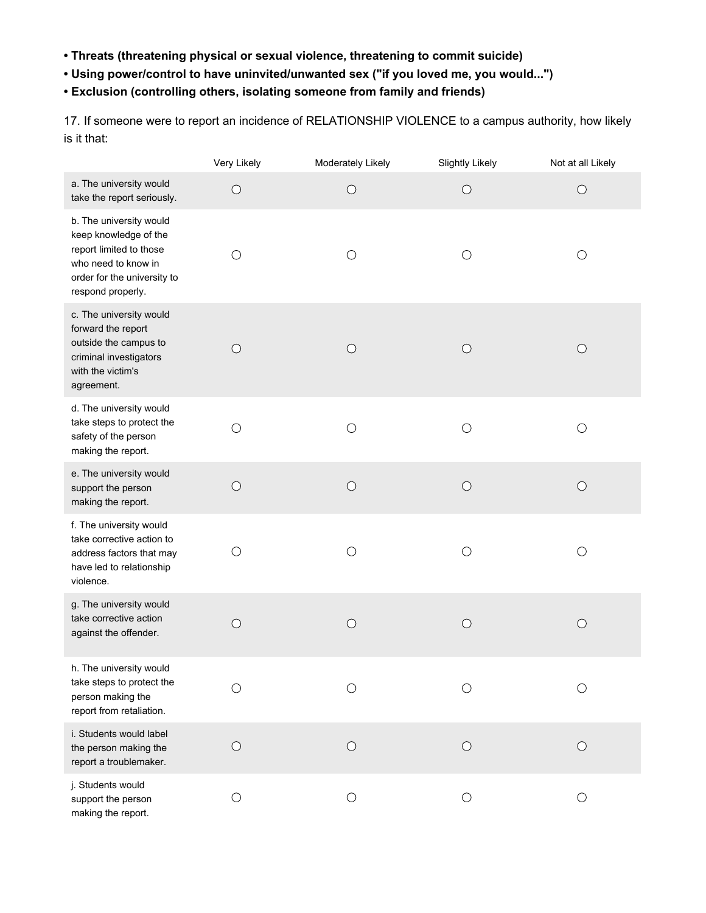- **• Threats (threatening physical or sexual violence, threatening to commit suicide)**
- **• Using power/control to have uninvited/unwanted sex ("if you loved me, you would...")**
- **• Exclusion (controlling others, isolating someone from family and friends)**

17. If someone were to report an incidence of RELATIONSHIP VIOLENCE to a campus authority, how likely is it that:

|                                                                                                                                                        | Very Likely | Moderately Likely | <b>Slightly Likely</b> | Not at all Likely |
|--------------------------------------------------------------------------------------------------------------------------------------------------------|-------------|-------------------|------------------------|-------------------|
| a. The university would<br>take the report seriously.                                                                                                  | $\bigcirc$  | $\bigcirc$        | $\bigcirc$             | $\bigcirc$        |
| b. The university would<br>keep knowledge of the<br>report limited to those<br>who need to know in<br>order for the university to<br>respond properly. | $\bigcirc$  | $\bigcirc$        | $\bigcirc$             | $\bigcirc$        |
| c. The university would<br>forward the report<br>outside the campus to<br>criminal investigators<br>with the victim's<br>agreement.                    | $\bigcirc$  | $\bigcirc$        | $\bigcirc$             | $\bigcirc$        |
| d. The university would<br>take steps to protect the<br>safety of the person<br>making the report.                                                     | $\bigcirc$  | $\bigcirc$        | $\bigcirc$             | $\bigcirc$        |
| e. The university would<br>support the person<br>making the report.                                                                                    | $\bigcirc$  | $\bigcirc$        | $\bigcirc$             | $\bigcirc$        |
| f. The university would<br>take corrective action to<br>address factors that may<br>have led to relationship<br>violence.                              | $\bigcirc$  | O                 | O                      | $\bigcirc$        |
| g. The university would<br>take corrective action<br>against the offender.                                                                             | $\bigcirc$  | $\bigcirc$        | $\bigcirc$             | $\bigcirc$        |
| h. The university would<br>take steps to protect the<br>person making the<br>report from retaliation.                                                  |             |                   |                        |                   |
| i. Students would label<br>the person making the<br>report a troublemaker.                                                                             | $\bigcirc$  | $\bigcirc$        | $\bigcirc$             | $\bigcirc$        |
| j. Students would<br>support the person<br>making the report.                                                                                          | О           | $\bigcirc$        | O                      | $\bigcirc$        |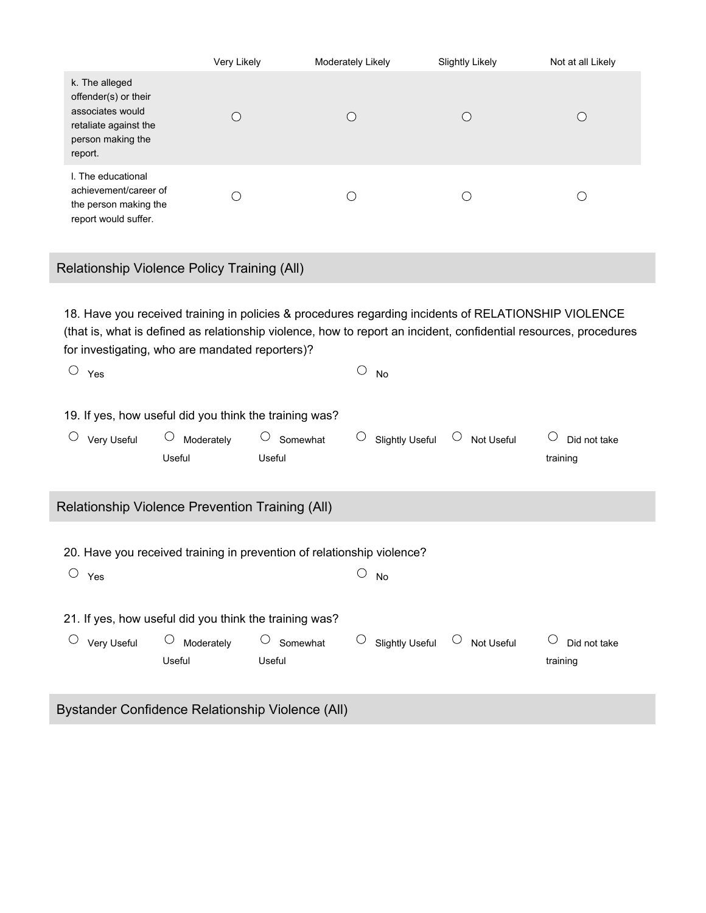|                                                                                                                     | Very Likely | Moderately Likely | <b>Slightly Likely</b> | Not at all Likely      |
|---------------------------------------------------------------------------------------------------------------------|-------------|-------------------|------------------------|------------------------|
| k. The alleged<br>offender(s) or their<br>associates would<br>retaliate against the<br>person making the<br>report. |             |                   |                        | $\left( \quad \right)$ |
| I. The educational<br>achievement/career of<br>the person making the<br>report would suffer.                        |             |                   |                        |                        |

Relationship Violence Policy Training (All)

18. Have you received training in policies & procedures regarding incidents of RELATIONSHIP VIOLENCE (that is, what is defined as relationship violence, how to report an incident, confidential resources, procedures for investigating, who are mandated reporters)?

| $\bigcirc$ | Yes                                                    |                                                                                             |                                                                        |                     | No                     |        |            |                          |
|------------|--------------------------------------------------------|---------------------------------------------------------------------------------------------|------------------------------------------------------------------------|---------------------|------------------------|--------|------------|--------------------------|
|            | Very Useful                                            | 19. If yes, how useful did you think the training was?<br>$\circlearrowright$<br>Moderately | Somewhat                                                               | $\circlearrowright$ | <b>Slightly Useful</b> | $\cup$ | Not Useful | Did not take             |
|            |                                                        | Useful                                                                                      | Useful                                                                 |                     |                        |        |            | training                 |
|            |                                                        | Relationship Violence Prevention Training (All)                                             |                                                                        |                     |                        |        |            |                          |
|            |                                                        |                                                                                             | 20. Have you received training in prevention of relationship violence? |                     |                        |        |            |                          |
| O          | Yes                                                    |                                                                                             |                                                                        |                     | No                     |        |            |                          |
|            | 21. If yes, how useful did you think the training was? |                                                                                             |                                                                        |                     |                        |        |            |                          |
|            | Very Useful                                            | $\bigcirc$<br>Moderately<br>Useful                                                          | Somewhat<br>Useful                                                     | O                   | <b>Slightly Useful</b> | $\cup$ | Not Useful | Did not take<br>training |
|            |                                                        |                                                                                             | <u> Ductandor Confidence Dolationship Violence (All)</u>               |                     |                        |        |            |                          |

Bystander Confidence Relationship Violence (All)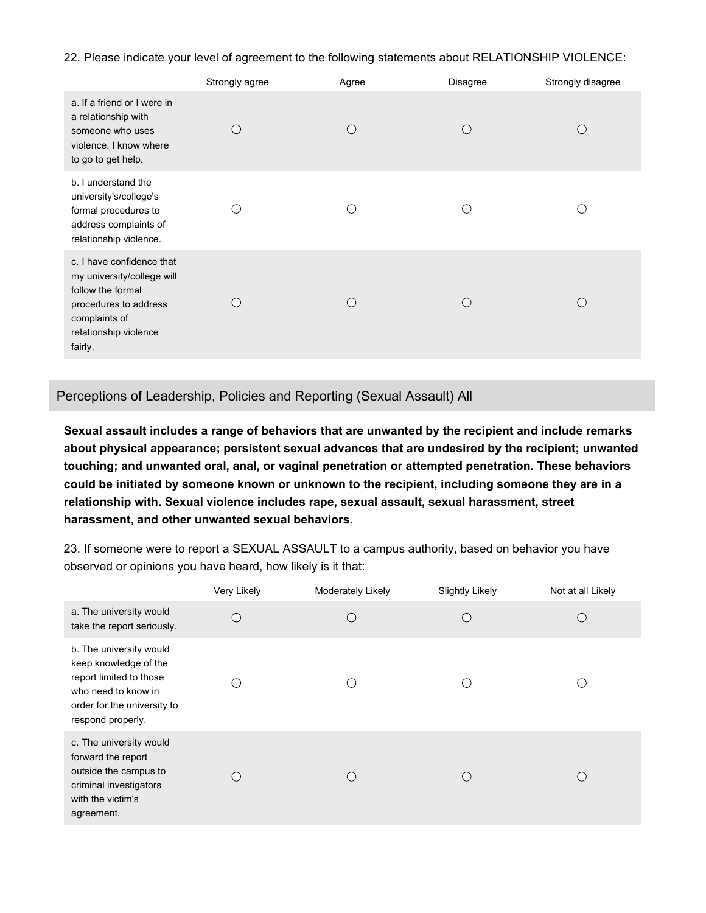22. Please indicate your level of agreement to the following statements about RELATIONSHIP VIOLENCE:

|                                                                                                                                                            | Strongly agree | Agree | <b>Disagree</b> | Strongly disagree |
|------------------------------------------------------------------------------------------------------------------------------------------------------------|----------------|-------|-----------------|-------------------|
| a. If a friend or I were in<br>a relationship with<br>someone who uses<br>violence, I know where<br>to go to get help.                                     |                |       |                 |                   |
| b. I understand the<br>university's/college's<br>formal procedures to<br>address complaints of<br>relationship violence.                                   |                |       |                 |                   |
| c. I have confidence that<br>my university/college will<br>follow the formal<br>procedures to address<br>complaints of<br>relationship violence<br>fairly. |                |       |                 |                   |

Perceptions of Leadership, Policies and Reporting (Sexual Assault) All

**Sexual assault includes a range of behaviors that are unwanted by the recipient and include remarks about physical appearance; persistent sexual advances that are undesired by the recipient; unwanted touching; and unwanted oral, anal, or vaginal penetration or attempted penetration. These behaviors could be initiated by someone known or unknown to the recipient, including someone they are in a relationship with. Sexual violence includes rape, sexual assault, sexual harassment, street harassment, and other unwanted sexual behaviors.**

23. If someone were to report a SEXUAL ASSAULT to a campus authority, based on behavior you have observed or opinions you have heard, how likely is it that:

|                                                                                                                                                        | Very Likely | <b>Moderately Likely</b> | <b>Slightly Likely</b> | Not at all Likely |
|--------------------------------------------------------------------------------------------------------------------------------------------------------|-------------|--------------------------|------------------------|-------------------|
| a. The university would<br>take the report seriously.                                                                                                  |             | $\left($                 |                        |                   |
| b. The university would<br>keep knowledge of the<br>report limited to those<br>who need to know in<br>order for the university to<br>respond properly. |             |                          |                        |                   |
| c. The university would<br>forward the report<br>outside the campus to<br>criminal investigators<br>with the victim's<br>agreement.                    |             |                          |                        |                   |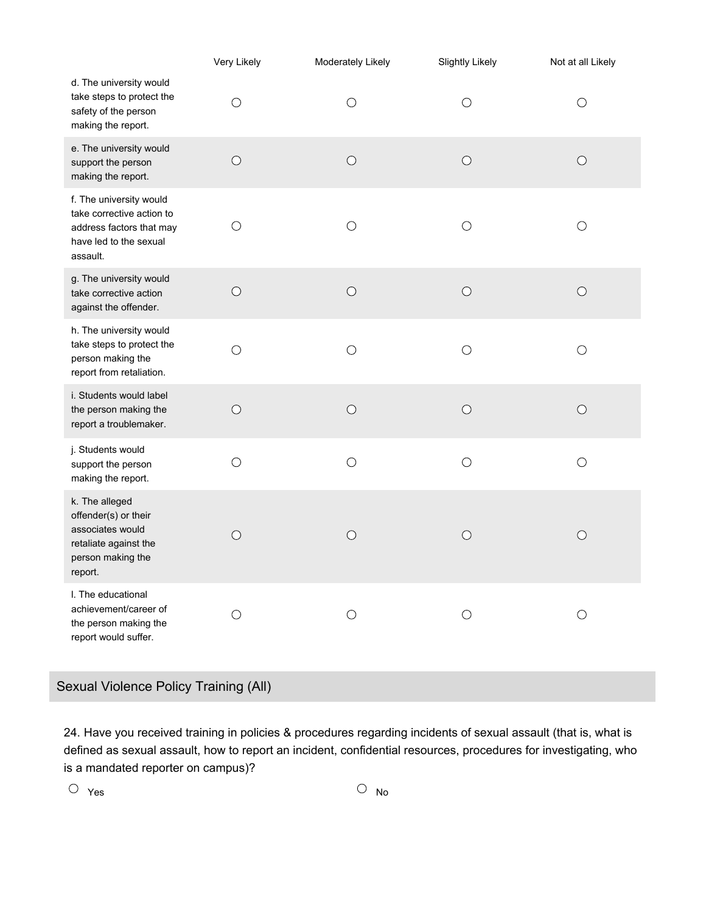|                                                                                                                        | Very Likely | Moderately Likely | <b>Slightly Likely</b> | Not at all Likely |
|------------------------------------------------------------------------------------------------------------------------|-------------|-------------------|------------------------|-------------------|
| d. The university would<br>take steps to protect the<br>safety of the person<br>making the report.                     | $\bigcirc$  | $\bigcirc$        | $\bigcirc$             | $\left(\right)$   |
| e. The university would<br>support the person<br>making the report.                                                    | $\bigcirc$  | $\bigcirc$        | $\bigcirc$             | $\bigcirc$        |
| f. The university would<br>take corrective action to<br>address factors that may<br>have led to the sexual<br>assault. | $\bigcirc$  | $\bigcirc$        | $\bigcirc$             | O                 |
| g. The university would<br>take corrective action<br>against the offender.                                             | $\bigcirc$  | $\bigcirc$        | $\bigcirc$             | $\bigcirc$        |
| h. The university would<br>take steps to protect the<br>person making the<br>report from retaliation.                  | $\bigcirc$  | $\bigcirc$        | $\bigcirc$             | $\bigcirc$        |
| i. Students would label<br>the person making the<br>report a troublemaker.                                             | $\bigcirc$  | $\bigcirc$        | $\bigcirc$             | $\bigcirc$        |
| j. Students would<br>support the person<br>making the report.                                                          | $\bigcirc$  | $\bigcirc$        | $\bigcirc$             | О                 |
| k. The alleged<br>offender(s) or their<br>associates would<br>retaliate against the<br>person making the<br>report.    | $\bigcirc$  | $\bigcirc$        | $\bigcirc$             | $\bigcirc$        |
| I. The educational<br>achievement/career of<br>the person making the<br>report would suffer.                           | O           | O                 | О                      |                   |

Sexual Violence Policy Training (All)

24. Have you received training in policies & procedures regarding incidents of sexual assault (that is, what is defined as sexual assault, how to report an incident, confidential resources, procedures for investigating, who is a mandated reporter on campus)?

 $\overline{\text{O}}$   $\gamma_{\text{es}}$   $\overline{\text{O}}$   $\gamma_{\text{os}}$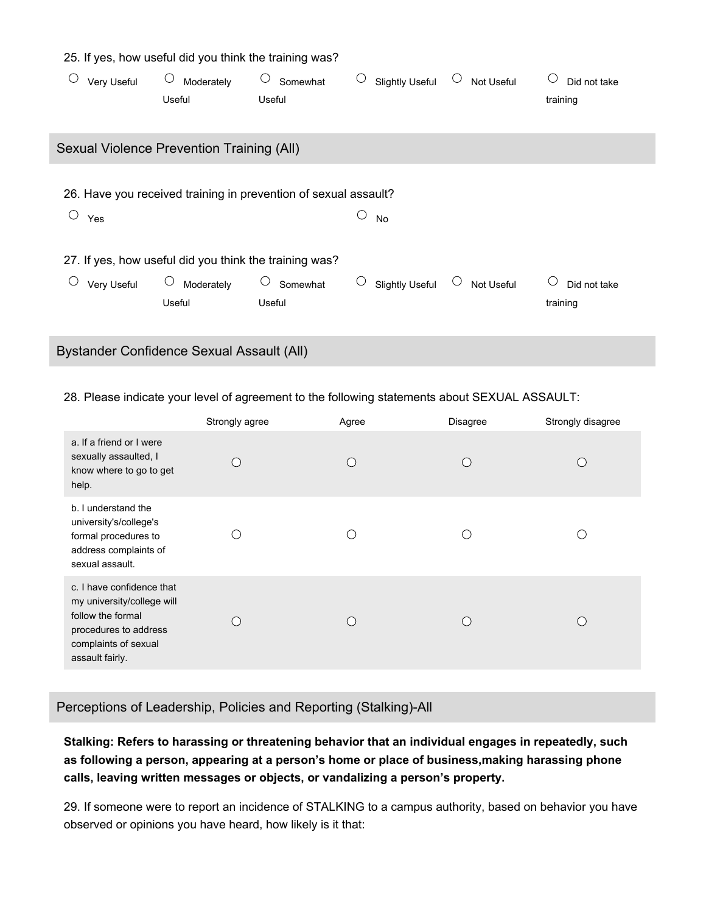| 25. If yes, how useful did you think the training was? |                                                                 |               |                             |                      |                   |  |  |
|--------------------------------------------------------|-----------------------------------------------------------------|---------------|-----------------------------|----------------------|-------------------|--|--|
| U<br>Very Useful                                       | $\cup$<br>Moderately                                            | O<br>Somewhat | U<br><b>Slightly Useful</b> | $\cup$<br>Not Useful | U<br>Did not take |  |  |
|                                                        | Useful                                                          | Useful        |                             |                      | training          |  |  |
|                                                        |                                                                 |               |                             |                      |                   |  |  |
| Sexual Violence Prevention Training (All)              |                                                                 |               |                             |                      |                   |  |  |
|                                                        |                                                                 |               |                             |                      |                   |  |  |
|                                                        | 26. Have you received training in prevention of sexual assault? |               |                             |                      |                   |  |  |
| O<br>Yes                                               |                                                                 |               | O<br>No                     |                      |                   |  |  |
|                                                        |                                                                 |               |                             |                      |                   |  |  |
|                                                        | 27. If yes, how useful did you think the training was?          |               |                             |                      |                   |  |  |
| Very Useful                                            | Moderately                                                      | Somewhat      | U<br><b>Slightly Useful</b> | Not Useful           | O<br>Did not take |  |  |
|                                                        | Useful                                                          | Useful        |                             |                      | training          |  |  |
|                                                        |                                                                 |               |                             |                      |                   |  |  |
|                                                        |                                                                 |               |                             |                      |                   |  |  |

Bystander Confidence Sexual Assault (All)

28. Please indicate your level of agreement to the following statements about SEXUAL ASSAULT:

|                                                                                                                                                  | Strongly agree | Agree | Disagree | Strongly disagree |
|--------------------------------------------------------------------------------------------------------------------------------------------------|----------------|-------|----------|-------------------|
| a. If a friend or I were<br>sexually assaulted, I<br>know where to go to get<br>help.                                                            |                |       |          |                   |
| b. I understand the<br>university's/college's<br>formal procedures to<br>address complaints of<br>sexual assault.                                |                |       |          |                   |
| c. I have confidence that<br>my university/college will<br>follow the formal<br>procedures to address<br>complaints of sexual<br>assault fairly. |                |       |          |                   |

Perceptions of Leadership, Policies and Reporting (Stalking)-All

**Stalking: Refers to harassing or threatening behavior that an individual engages in repeatedly, such as following a person, appearing at a person's home or place of business,making harassing phone calls, leaving written messages or objects, or vandalizing a person's property.**

29. If someone were to report an incidence of STALKING to a campus authority, based on behavior you have observed or opinions you have heard, how likely is it that: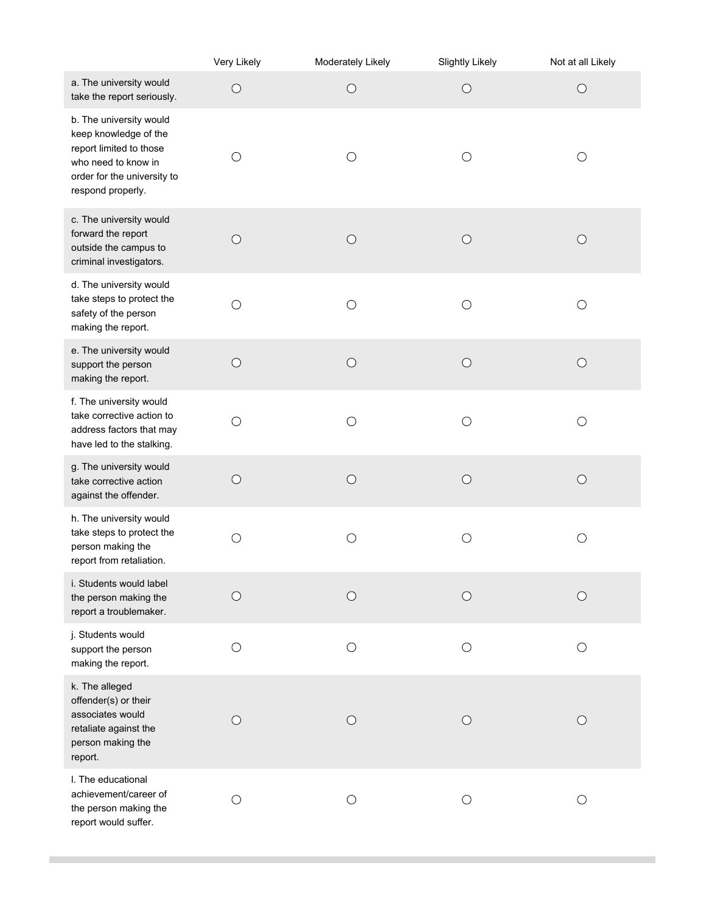|                                                                                                                                                        | Very Likely     | Moderately Likely | <b>Slightly Likely</b> | Not at all Likely |
|--------------------------------------------------------------------------------------------------------------------------------------------------------|-----------------|-------------------|------------------------|-------------------|
| a. The university would<br>take the report seriously.                                                                                                  | $\bigcirc$      | $\bigcirc$        | $\bigcirc$             | $\bigcirc$        |
| b. The university would<br>keep knowledge of the<br>report limited to those<br>who need to know in<br>order for the university to<br>respond properly. | ( )             | O                 | $\bigcirc$             | ( )               |
| c. The university would<br>forward the report<br>outside the campus to<br>criminal investigators.                                                      | $\bigcirc$      | $\bigcirc$        | $\bigcirc$             | O                 |
| d. The university would<br>take steps to protect the<br>safety of the person<br>making the report.                                                     | $\bigcirc$      | $\bigcirc$        | $\bigcirc$             | ( )               |
| e. The university would<br>support the person<br>making the report.                                                                                    | $\bigcirc$      | $\bigcirc$        | $\bigcirc$             | $\bigcirc$        |
| f. The university would<br>take corrective action to<br>address factors that may<br>have led to the stalking.                                          | $\bigcirc$      | $\bigcirc$        | $\bigcirc$             | О                 |
| g. The university would<br>take corrective action<br>against the offender.                                                                             | $\bigcirc$      | $\bigcirc$        | $\bigcirc$             | $\bigcirc$        |
| h. The university would<br>take steps to protect the<br>person making the<br>report from retaliation.                                                  | $\bigcirc$      | $\bigcirc$        | $\bigcirc$             | $\bigcirc$        |
| i. Students would label<br>the person making the<br>report a troublemaker.                                                                             | $\left(\right)$ | $\left(\right)$   | $\left(\right)$        | ()                |
| j. Students would<br>support the person<br>making the report.                                                                                          | $\bigcirc$      | $\bigcirc$        | $\bigcirc$             | О                 |
| k. The alleged<br>offender(s) or their<br>associates would<br>retaliate against the<br>person making the<br>report.                                    | ( )             | O                 | Ő                      |                   |
| I. The educational<br>achievement/career of<br>the person making the<br>report would suffer.                                                           | ( )             | O                 | О                      | ()                |

 $\mathcal{L}^{\text{max}}_{\text{max}}$  , and  $\mathcal{L}^{\text{max}}_{\text{max}}$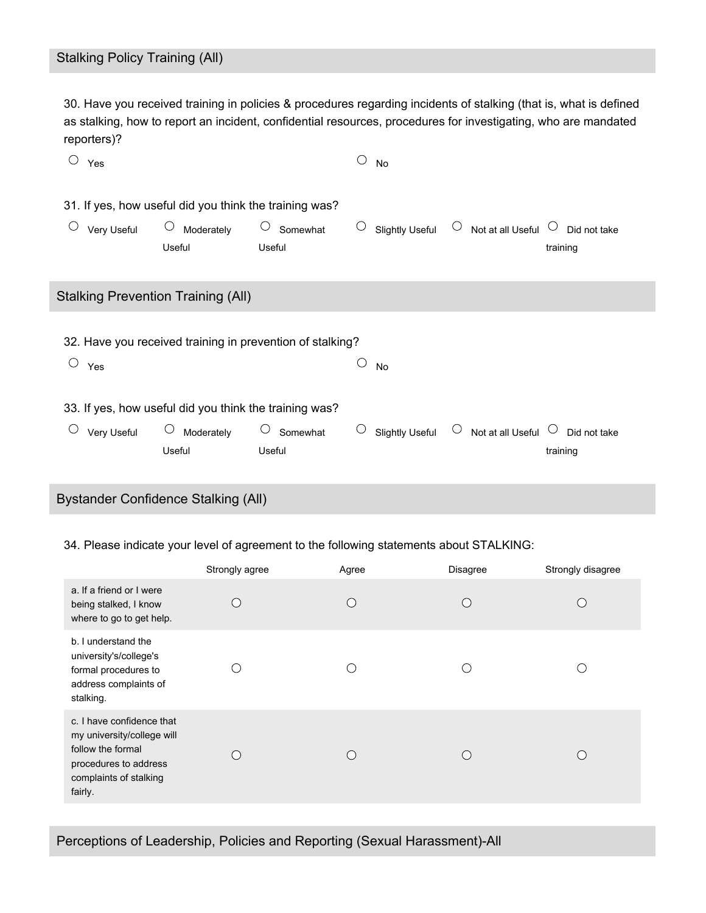30. Have you received training in policies & procedures regarding incidents of stalking (that is, what is defined as stalking, how to report an incident, confidential resources, procedures for investigating, who are mandated reporters)?

| $\bigcirc$ | Yes         |                                                        |                                                           | ◯          | No                     |            |                                   |                          |  |
|------------|-------------|--------------------------------------------------------|-----------------------------------------------------------|------------|------------------------|------------|-----------------------------------|--------------------------|--|
|            |             | 31. If yes, how useful did you think the training was? |                                                           |            |                        |            |                                   |                          |  |
|            | Very Useful | $\circ$<br>Moderately<br>Useful                        | $\bigcirc$<br>Somewhat<br>Useful                          | $\bigcirc$ | <b>Slightly Useful</b> |            | $\circ$ Not at all Useful $\circ$ | Did not take<br>training |  |
|            |             | <b>Stalking Prevention Training (All)</b>              |                                                           |            |                        |            |                                   |                          |  |
| $\bigcirc$ | Yes         |                                                        | 32. Have you received training in prevention of stalking? |            | No                     |            |                                   |                          |  |
|            |             | 33. If yes, how useful did you think the training was? |                                                           |            |                        |            |                                   |                          |  |
|            | Very Useful | $\bigcirc$<br>Moderately<br>Useful                     | $\circ$ Somewhat<br>Useful                                | O          | <b>Slightly Useful</b> | $\bigcirc$ | Not at all Useful $\heartsuit$    | Did not take<br>training |  |
|            |             | Bystander Confidence Stalking (All)                    |                                                           |            |                        |            |                                   |                          |  |

#### 34. Please indicate your level of agreement to the following statements about STALKING:

|                                                                                                                                            | Strongly agree | Agree | Disagree | Strongly disagree |
|--------------------------------------------------------------------------------------------------------------------------------------------|----------------|-------|----------|-------------------|
| a. If a friend or I were<br>being stalked, I know<br>where to go to get help.                                                              |                |       |          |                   |
| b. I understand the<br>university's/college's<br>formal procedures to<br>address complaints of<br>stalking.                                |                |       |          |                   |
| c. I have confidence that<br>my university/college will<br>follow the formal<br>procedures to address<br>complaints of stalking<br>fairly. |                |       |          |                   |

Perceptions of Leadership, Policies and Reporting (Sexual Harassment)-All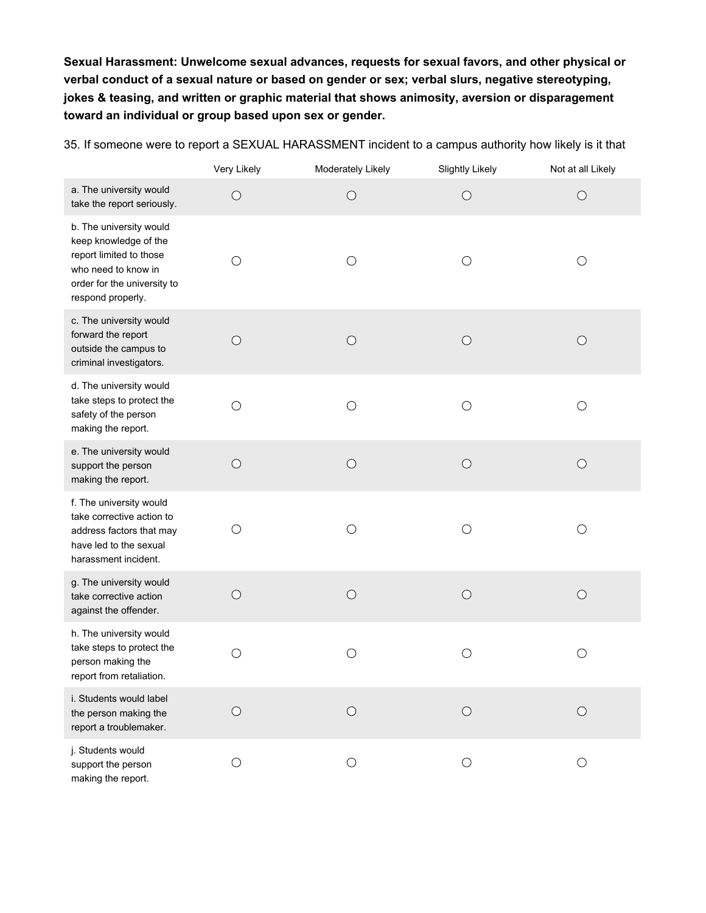**Sexual Harassment: Unwelcome sexual advances, requests for sexual favors, and other physical or verbal conduct of a sexual nature or based on gender or sex; verbal slurs, negative stereotyping, jokes & teasing, and written or graphic material that shows animosity, aversion or disparagement toward an individual or group based upon sex or gender.**

Very Likely **Moderately Likely** Slightly Likely Not at all Likely a. The university would  $\bigcirc$  $\bigcirc$  $\bigcirc$  $\bigcirc$ take the report seriously. b. The university would keep knowledge of the report limited to those  $\bigcirc$  $\bigcirc$  $\bigcirc$  $\bigcirc$ who need to know in order for the university to respond properly. c. The university would forward the report  $\circ$  $\bigcirc$  $\bigcirc$  $\bigcirc$ outside the campus to criminal investigators. d. The university would take steps to protect the  $\bigcirc$  $\bigcirc$  $\bigcirc$  $\bigcirc$ safety of the person making the report. e. The university would  $\bigcirc$  $\bigcirc$  $\bigcirc$  $\bigcirc$ support the person making the report. f. The university would take corrective action to  $\bigcirc$  $\bigcirc$  $\bigcirc$  $\bigcirc$ address factors that may have led to the sexual harassment incident. g. The university would  $\bigcirc$  $\bigcirc$  $\bigcirc$  $\bigcirc$ take corrective action against the offender. h. The university would take steps to protect the  $\bigcirc$  $\bigcirc$  $\bigcirc$  $\bigcirc$ person making the report from retaliation. i. Students would label  $\circ$  $\circ$  $\bigcirc$  $\bigcirc$ the person making the report a troublemaker. j. Students would  $\bigcirc$  $\bigcirc$  $\bigcirc$  $\bigcirc$ support the person making the report.

35. If someone were to report a SEXUAL HARASSMENT incident to a campus authority how likely is it that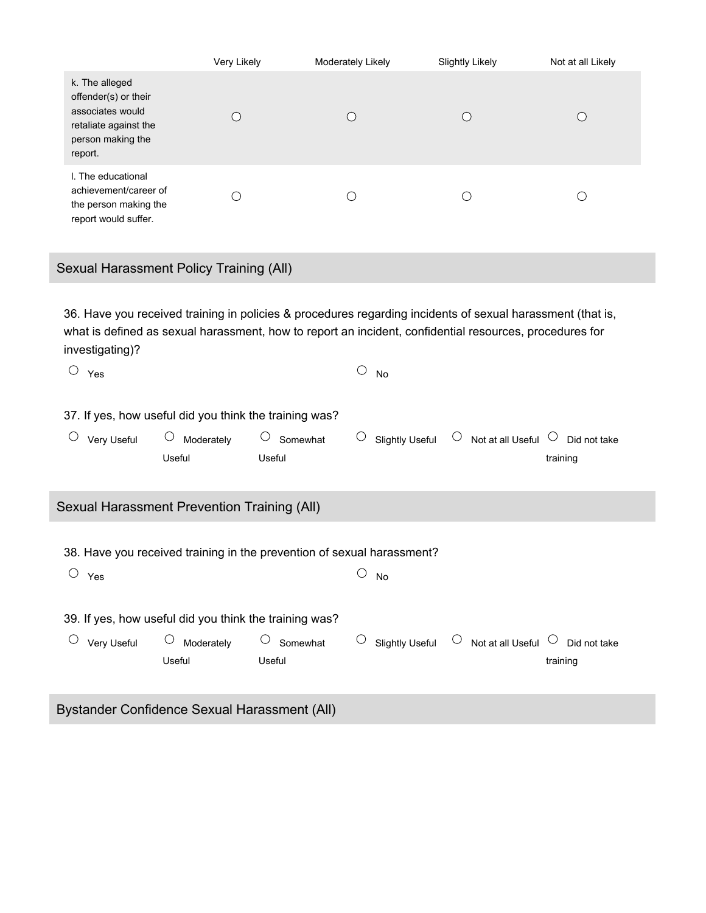|                                                                                                                     | Very Likely | Moderately Likely | <b>Slightly Likely</b> | Not at all Likely |
|---------------------------------------------------------------------------------------------------------------------|-------------|-------------------|------------------------|-------------------|
| k. The alleged<br>offender(s) or their<br>associates would<br>retaliate against the<br>person making the<br>report. |             |                   |                        |                   |
| I. The educational<br>achievement/career of<br>the person making the<br>report would suffer.                        |             |                   |                        |                   |

Sexual Harassment Policy Training (All)

36. Have you received training in policies & procedures regarding incidents of sexual harassment (that is, what is defined as sexual harassment, how to report an incident, confidential resources, procedures for investigating)?

| O          | Yes         |                                                        |                                                                        |            | No                     |            |                                |                          |  |
|------------|-------------|--------------------------------------------------------|------------------------------------------------------------------------|------------|------------------------|------------|--------------------------------|--------------------------|--|
|            |             | 37. If yes, how useful did you think the training was? |                                                                        |            |                        |            |                                |                          |  |
|            | Very Useful | $\bigcirc$<br>Moderately<br>Useful                     | $\bigcirc$<br>Somewhat<br>Useful                                       | $\bigcirc$ | <b>Slightly Useful</b> | $\bigcirc$ | Not at all Useful $\ ^\circ$   | Did not take<br>training |  |
|            |             | Sexual Harassment Prevention Training (All)            |                                                                        |            |                        |            |                                |                          |  |
| $\bigcirc$ | Yes         |                                                        | 38. Have you received training in the prevention of sexual harassment? |            | No                     |            |                                |                          |  |
|            |             | 39. If yes, how useful did you think the training was? |                                                                        |            |                        |            |                                |                          |  |
|            | Very Useful | $\bigcirc$<br>Moderately<br>Useful                     | Somewhat<br>Useful                                                     | O          | <b>Slightly Useful</b> | $\bigcirc$ | Not at all Useful $\heartsuit$ | Did not take<br>training |  |
|            |             | Rustander Confidence Sexual Harassment (All)           |                                                                        |            |                        |            |                                |                          |  |

Bystander Confidence Sexual Harassment (All)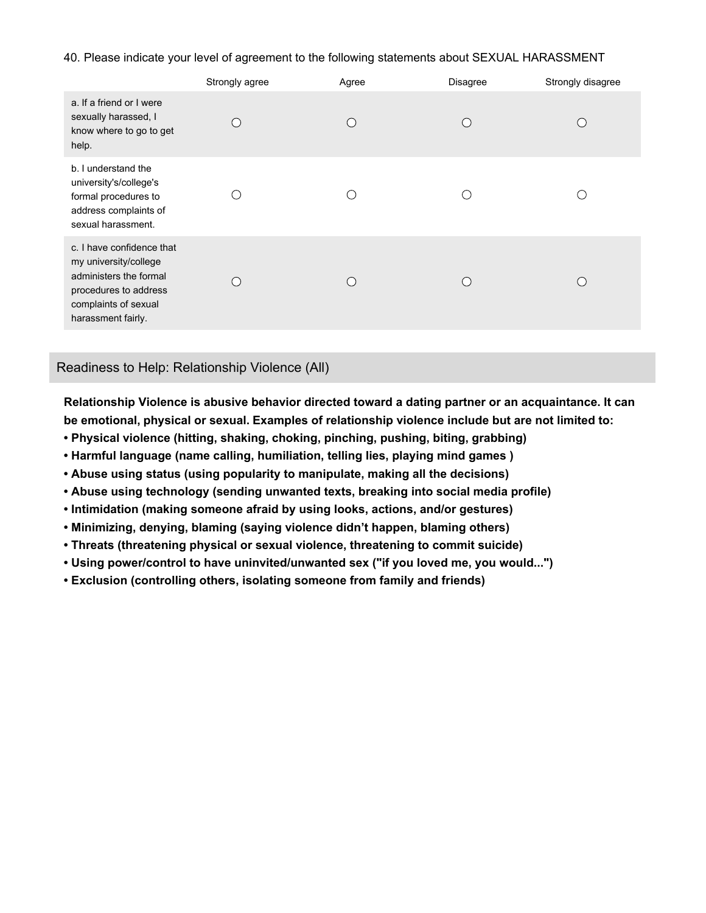40. Please indicate your level of agreement to the following statements about SEXUAL HARASSMENT

|                                                                                                                                                     | Strongly agree | Agree | <b>Disagree</b> | Strongly disagree |
|-----------------------------------------------------------------------------------------------------------------------------------------------------|----------------|-------|-----------------|-------------------|
| a. If a friend or I were<br>sexually harassed, I<br>know where to go to get<br>help.                                                                |                |       |                 |                   |
| b. I understand the<br>university's/college's<br>formal procedures to<br>address complaints of<br>sexual harassment.                                |                |       |                 |                   |
| c. I have confidence that<br>my university/college<br>administers the formal<br>procedures to address<br>complaints of sexual<br>harassment fairly. |                |       |                 |                   |

## Readiness to Help: Relationship Violence (All)

**Relationship Violence is abusive behavior directed toward a dating partner or an acquaintance. It can be emotional, physical or sexual. Examples of relationship violence include but are not limited to:**

- **• Physical violence (hitting, shaking, choking, pinching, pushing, biting, grabbing)**
- **• Harmful language (name calling, humiliation, telling lies, playing mind games )**
- **• Abuse using status (using popularity to manipulate, making all the decisions)**
- **• Abuse using technology (sending unwanted texts, breaking into social media profile)**
- **• Intimidation (making someone afraid by using looks, actions, and/or gestures)**
- **• Minimizing, denying, blaming (saying violence didn't happen, blaming others)**
- **• Threats (threatening physical or sexual violence, threatening to commit suicide)**
- **• Using power/control to have uninvited/unwanted sex ("if you loved me, you would...")**
- **• Exclusion (controlling others, isolating someone from family and friends)**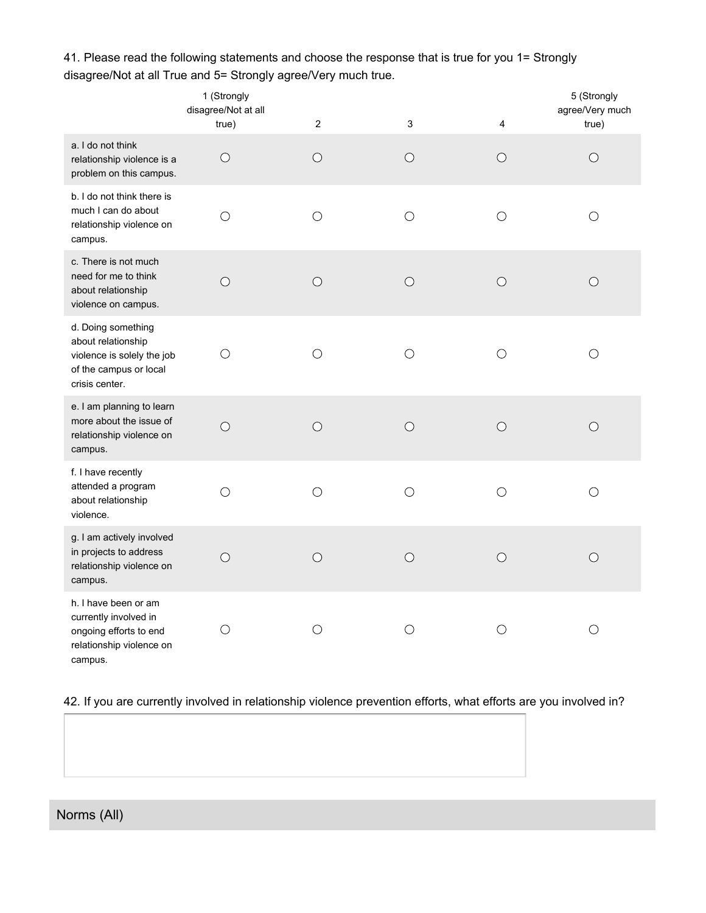|                                                                                                                    | 1 (Strongly<br>disagree/Not at all<br>true) | $\overline{2}$ | $\mathbf{3}$ | 4          | 5 (Strongly<br>agree/Very much<br>true) |
|--------------------------------------------------------------------------------------------------------------------|---------------------------------------------|----------------|--------------|------------|-----------------------------------------|
| a. I do not think<br>relationship violence is a<br>problem on this campus.                                         | $\bigcirc$                                  | O              | $\bigcirc$   | O          | $\bigcirc$                              |
| b. I do not think there is<br>much I can do about<br>relationship violence on<br>campus.                           | $\bigcirc$                                  | $\bigcirc$     | $\bigcirc$   | $\bigcirc$ | $\bigcirc$                              |
| c. There is not much<br>need for me to think<br>about relationship<br>violence on campus.                          | $\bigcirc$                                  | $\bigcirc$     | $\bigcirc$   | $\bigcirc$ | $\bigcirc$                              |
| d. Doing something<br>about relationship<br>violence is solely the job<br>of the campus or local<br>crisis center. | $\bigcirc$                                  | $\bigcirc$     | $\bigcirc$   | $\bigcirc$ | $\bigcirc$                              |
| e. I am planning to learn<br>more about the issue of<br>relationship violence on<br>campus.                        | $\bigcirc$                                  | $\bigcirc$     | $\bigcirc$   | $\bigcirc$ | $\bigcirc$                              |
| f. I have recently<br>attended a program<br>about relationship<br>violence.                                        | $\bigcirc$                                  | $\bigcirc$     | $\bigcirc$   | $\bigcirc$ | $\bigcirc$                              |
| g. I am actively involved<br>in projects to address<br>relationship violence on<br>campus.                         | $\bigcirc$                                  | $\bigcirc$     | $\bigcirc$   | $\bigcirc$ | $\bigcirc$                              |
| h. I have been or am<br>currently involved in<br>ongoing efforts to end<br>relationship violence on<br>campus.     | $\bigcirc$                                  | $\bigcirc$     | $\bigcirc$   | $\bigcirc$ | $\bigcirc$                              |

41. Please read the following statements and choose the response that is true for you 1= Strongly disagree/Not at all True and 5= Strongly agree/Very much true.

42. If you are currently involved in relationship violence prevention efforts, what efforts are you involved in?

Norms (All)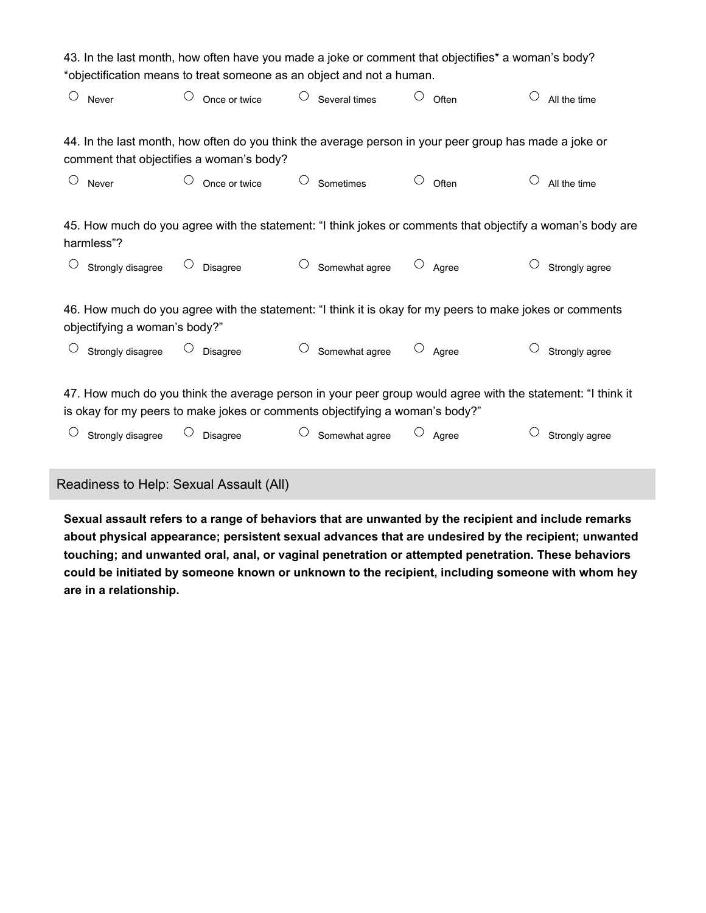| 43. In the last month, how often have you made a joke or comment that objectifies* a woman's body?                                                                                          |                                          |  |                 |  |                                                                                                        |                     |       |                |
|---------------------------------------------------------------------------------------------------------------------------------------------------------------------------------------------|------------------------------------------|--|-----------------|--|--------------------------------------------------------------------------------------------------------|---------------------|-------|----------------|
| *objectification means to treat someone as an object and not a human.                                                                                                                       |                                          |  |                 |  |                                                                                                        |                     |       |                |
| $\bigcirc$                                                                                                                                                                                  | Never                                    |  | Once or twice   |  | Several times                                                                                          |                     | Often | All the time   |
|                                                                                                                                                                                             |                                          |  |                 |  | 44. In the last month, how often do you think the average person in your peer group has made a joke or |                     |       |                |
|                                                                                                                                                                                             | comment that objectifies a woman's body? |  |                 |  |                                                                                                        |                     |       |                |
| O                                                                                                                                                                                           | Never                                    |  | Once or twice   |  | Sometimes                                                                                              |                     | Often | All the time   |
| 45. How much do you agree with the statement: "I think jokes or comments that objectify a woman's body are<br>harmless"?                                                                    |                                          |  |                 |  |                                                                                                        |                     |       |                |
|                                                                                                                                                                                             | Strongly disagree                        |  | <b>Disagree</b> |  | Somewhat agree                                                                                         |                     | Agree | Strongly agree |
| 46. How much do you agree with the statement: "I think it is okay for my peers to make jokes or comments                                                                                    |                                          |  |                 |  |                                                                                                        |                     |       |                |
| objectifying a woman's body?"                                                                                                                                                               |                                          |  |                 |  |                                                                                                        |                     |       |                |
|                                                                                                                                                                                             | Strongly disagree                        |  | <b>Disagree</b> |  | Somewhat agree                                                                                         | $\circlearrowright$ | Agree | Strongly agree |
| 47. How much do you think the average person in your peer group would agree with the statement: "I think it<br>is okay for my peers to make jokes or comments objectifying a woman's body?" |                                          |  |                 |  |                                                                                                        |                     |       |                |
|                                                                                                                                                                                             | Strongly disagree                        |  | Disagree        |  | Somewhat agree                                                                                         |                     | Agree | Strongly agree |

Readiness to Help: Sexual Assault (All)

**Sexual assault refers to a range of behaviors that are unwanted by the recipient and include remarks about physical appearance; persistent sexual advances that are undesired by the recipient; unwanted touching; and unwanted oral, anal, or vaginal penetration or attempted penetration. These behaviors could be initiated by someone known or unknown to the recipient, including someone with whom hey are in a relationship.**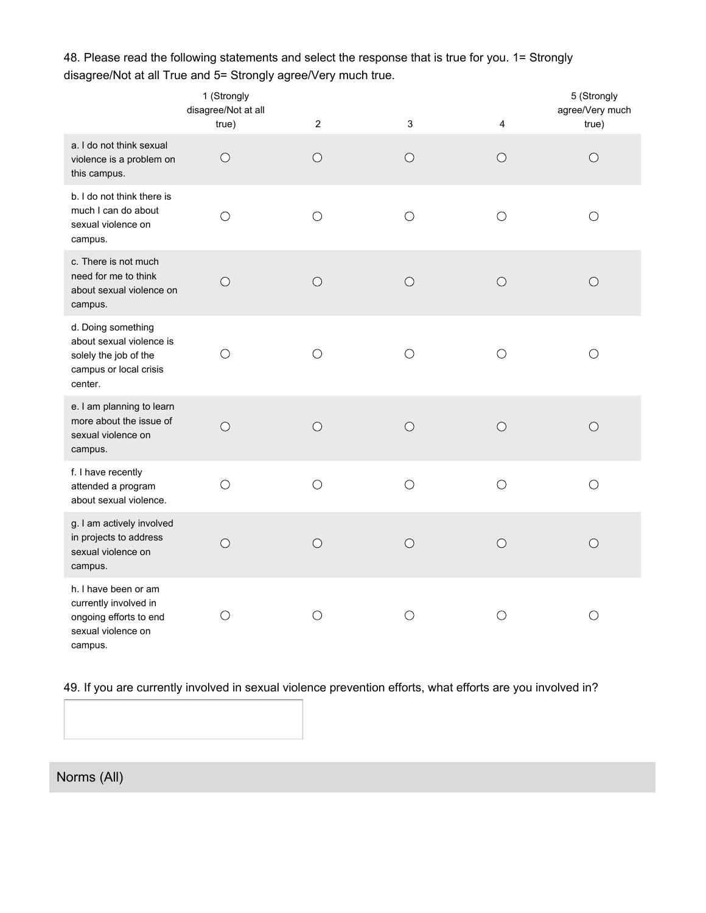|                                                                                                              | 1 (Strongly<br>disagree/Not at all<br>true) | $\overline{2}$ | $\mathbf{3}$ | 4          | 5 (Strongly<br>agree/Very much<br>true) |
|--------------------------------------------------------------------------------------------------------------|---------------------------------------------|----------------|--------------|------------|-----------------------------------------|
| a. I do not think sexual<br>violence is a problem on<br>this campus.                                         | $\bigcirc$                                  | $\bigcirc$     | $\bigcirc$   | $\bigcirc$ | $\bigcirc$                              |
| b. I do not think there is<br>much I can do about<br>sexual violence on<br>campus.                           | $\bigcirc$                                  | $\bigcirc$     | $\bigcirc$   | $\bigcirc$ | $\bigcirc$                              |
| c. There is not much<br>need for me to think<br>about sexual violence on<br>campus.                          | $\bigcirc$                                  | $\bigcirc$     | $\bigcirc$   | $\bigcirc$ | O                                       |
| d. Doing something<br>about sexual violence is<br>solely the job of the<br>campus or local crisis<br>center. | $\left(\right)$                             | ∩              | ◯            | ∩          | $\left(\right)$                         |
| e. I am planning to learn<br>more about the issue of<br>sexual violence on<br>campus.                        | $\bigcirc$                                  | $\circ$        | $\bigcirc$   | $\bigcirc$ | $\bigcirc$                              |
| f. I have recently<br>attended a program<br>about sexual violence.                                           | $\bigcirc$                                  | $\bigcirc$     | $\bigcirc$   | $\bigcirc$ | $\bigcirc$                              |
| g. I am actively involved<br>in projects to address<br>sexual violence on<br>campus.                         | $\bigcirc$                                  | $\bigcirc$     | $\bigcirc$   | $\bigcirc$ | ∩                                       |
| h. I have been or am<br>currently involved in<br>ongoing efforts to end<br>sexual violence on<br>campus.     | O                                           | O              | $\bigcirc$   | $\bigcirc$ | $\bigcirc$                              |

48. Please read the following statements and select the response that is true for you. 1= Strongly disagree/Not at all True and 5= Strongly agree/Very much true.

49. If you are currently involved in sexual violence prevention efforts, what efforts are you involved in?

Norms (All)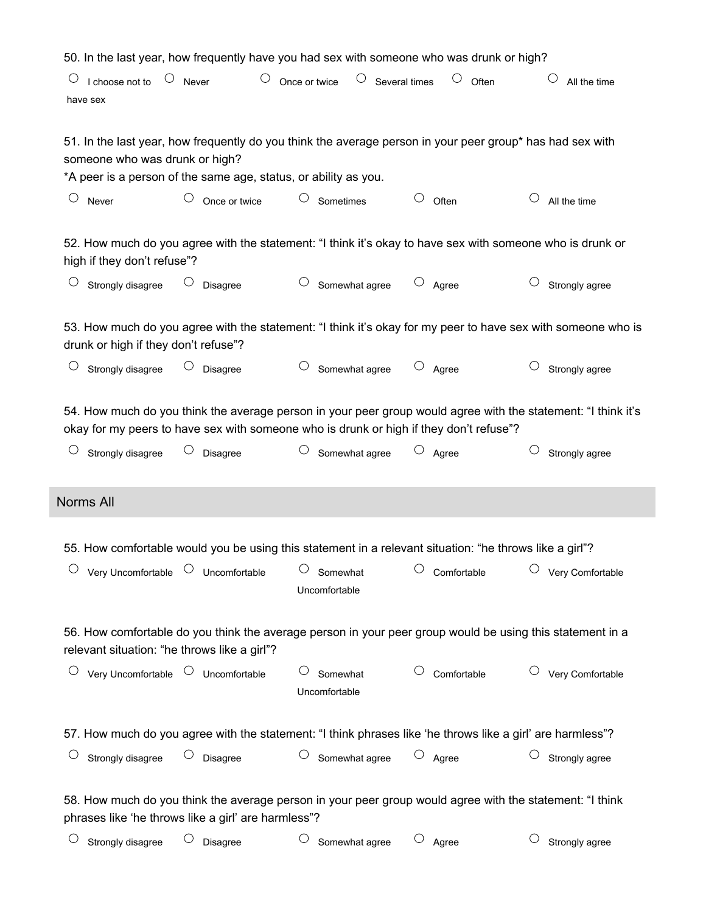| 50. In the last year, how frequently have you had sex with someone who was drunk or high?                                                                                                                      |                                          |                                                                                                           |                     |                  |  |  |
|----------------------------------------------------------------------------------------------------------------------------------------------------------------------------------------------------------------|------------------------------------------|-----------------------------------------------------------------------------------------------------------|---------------------|------------------|--|--|
| O<br>I choose not to<br>have sex                                                                                                                                                                               | $\bigcirc$<br>$\circ$ Never              | $\circ$ Several times<br>Once or twice                                                                    | Often               | All the time     |  |  |
| 51. In the last year, how frequently do you think the average person in your peer group* has had sex with<br>someone who was drunk or high?<br>*A peer is a person of the same age, status, or ability as you. |                                          |                                                                                                           |                     |                  |  |  |
| O<br>Never                                                                                                                                                                                                     | $\bigcirc$<br>Once or twice              | $\bigcirc$<br>Sometimes                                                                                   | O<br>Often          | All the time     |  |  |
| high if they don't refuse"?                                                                                                                                                                                    |                                          | 52. How much do you agree with the statement: "I think it's okay to have sex with someone who is drunk or |                     |                  |  |  |
| Strongly disagree                                                                                                                                                                                              | Disagree                                 | Somewhat agree                                                                                            | $\circ$ Agree       | Strongly agree   |  |  |
| 53. How much do you agree with the statement: "I think it's okay for my peer to have sex with someone who is<br>drunk or high if they don't refuse"?                                                           |                                          |                                                                                                           |                     |                  |  |  |
| Strongly disagree                                                                                                                                                                                              | Disagree                                 | Somewhat agree                                                                                            | $\circ$ Agree       | Strongly agree   |  |  |
| 54. How much do you think the average person in your peer group would agree with the statement: "I think it's<br>okay for my peers to have sex with someone who is drunk or high if they don't refuse"?        |                                          |                                                                                                           |                     |                  |  |  |
| Strongly disagree                                                                                                                                                                                              | Disagree                                 | $\bigcirc$<br>Somewhat agree                                                                              | $\circ$ Agree       | Strongly agree   |  |  |
| Norms All                                                                                                                                                                                                      |                                          |                                                                                                           |                     |                  |  |  |
|                                                                                                                                                                                                                |                                          | 55. How comfortable would you be using this statement in a relevant situation: "he throws like a girl"?   |                     |                  |  |  |
| Very Uncomfortable                                                                                                                                                                                             | $\circ$ Uncomfortable                    | Somewhat<br>Uncomfortable                                                                                 | Comfortable         | Very Comfortable |  |  |
| 56. How comfortable do you think the average person in your peer group would be using this statement in a<br>relevant situation: "he throws like a girl"?                                                      |                                          |                                                                                                           |                     |                  |  |  |
|                                                                                                                                                                                                                | Very Uncomfortable $\circ$ Uncomfortable | $\cup$<br>Somewhat<br>Uncomfortable                                                                       | Comfortable         | Very Comfortable |  |  |
| 57. How much do you agree with the statement: "I think phrases like 'he throws like a girl' are harmless"?                                                                                                     |                                          |                                                                                                           |                     |                  |  |  |
| Strongly disagree                                                                                                                                                                                              | Disagree                                 | Somewhat agree<br>$\bigcirc$                                                                              | $\bigcirc$<br>Agree | Strongly agree   |  |  |
| 58. How much do you think the average person in your peer group would agree with the statement: "I think<br>phrases like 'he throws like a girl' are harmless"?                                                |                                          |                                                                                                           |                     |                  |  |  |
| Strongly disagree                                                                                                                                                                                              | Disagree                                 | $\bigcirc$<br>Somewhat agree                                                                              | $\bigcirc$<br>Agree | Strongly agree   |  |  |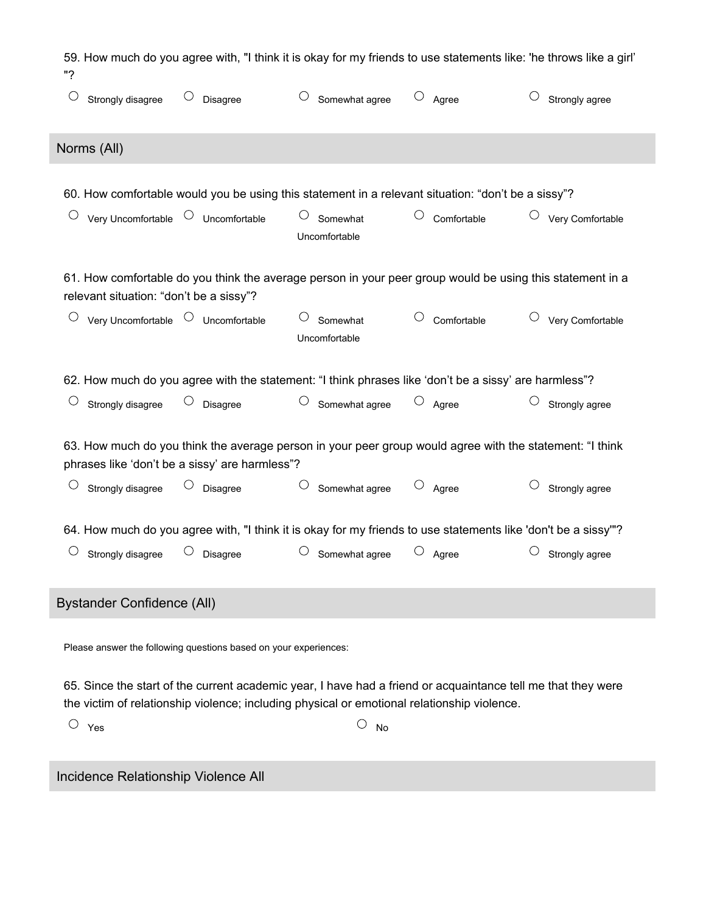| 59. How much do you agree with, "I think it is okay for my friends to use statements like: 'he throws like a girl'<br>"?                                                                                    |                                               |                        |                                         |                                                                                                           |                                      |  |
|-------------------------------------------------------------------------------------------------------------------------------------------------------------------------------------------------------------|-----------------------------------------------|------------------------|-----------------------------------------|-----------------------------------------------------------------------------------------------------------|--------------------------------------|--|
|                                                                                                                                                                                                             | Strongly disagree                             | Disagree               | Somewhat agree                          | О<br>Agree                                                                                                | Strongly agree                       |  |
|                                                                                                                                                                                                             | Norms (All)                                   |                        |                                         |                                                                                                           |                                      |  |
|                                                                                                                                                                                                             |                                               |                        |                                         |                                                                                                           |                                      |  |
|                                                                                                                                                                                                             |                                               |                        |                                         | 60. How comfortable would you be using this statement in a relevant situation: "don't be a sissy"?        |                                      |  |
|                                                                                                                                                                                                             | Very Uncomfortable <sup>O</sup> Uncomfortable |                        | $\bigcirc$<br>Somewhat<br>Uncomfortable | $\bigcirc$<br>Comfortable                                                                                 | $\circlearrowright$ Very Comfortable |  |
|                                                                                                                                                                                                             | relevant situation: "don't be a sissy"?       |                        |                                         | 61. How comfortable do you think the average person in your peer group would be using this statement in a |                                      |  |
|                                                                                                                                                                                                             | Very Uncomfortable <sup>O</sup> Uncomfortable |                        | Somewhat<br>Uncomfortable               | Comfortable                                                                                               | Very Comfortable                     |  |
| 62. How much do you agree with the statement: "I think phrases like 'don't be a sissy' are harmless"?                                                                                                       |                                               |                        |                                         |                                                                                                           |                                      |  |
| $\cup$                                                                                                                                                                                                      | Strongly disagree                             | $\bigcirc$<br>Disagree | $\bigcirc$<br>Somewhat agree            | $\circ$ Agree                                                                                             | $\bigcirc$<br>Strongly agree         |  |
| 63. How much do you think the average person in your peer group would agree with the statement: "I think<br>phrases like 'don't be a sissy' are harmless"?                                                  |                                               |                        |                                         |                                                                                                           |                                      |  |
|                                                                                                                                                                                                             | Strongly disagree                             | $\bigcirc$<br>Disagree | Somewhat agree                          | $\circ$ Agree                                                                                             | Strongly agree                       |  |
| 64. How much do you agree with, "I think it is okay for my friends to use statements like 'don't be a sissy""?                                                                                              |                                               |                        |                                         |                                                                                                           |                                      |  |
|                                                                                                                                                                                                             | Strongly disagree                             | $\bigcirc$<br>Disagree | $\bigcirc$<br>Somewhat agree            | $\bigcirc$<br>Agree                                                                                       | Strongly agree                       |  |
| <b>Bystander Confidence (All)</b>                                                                                                                                                                           |                                               |                        |                                         |                                                                                                           |                                      |  |
| Please answer the following questions based on your experiences:                                                                                                                                            |                                               |                        |                                         |                                                                                                           |                                      |  |
| 65. Since the start of the current academic year, I have had a friend or acquaintance tell me that they were<br>the victim of relationship violence; including physical or emotional relationship violence. |                                               |                        |                                         |                                                                                                           |                                      |  |

 $\overline{\text{O}}$   $\gamma$ es  $\overline{\text{O}}$   $\gamma$ es

Incidence Relationship Violence All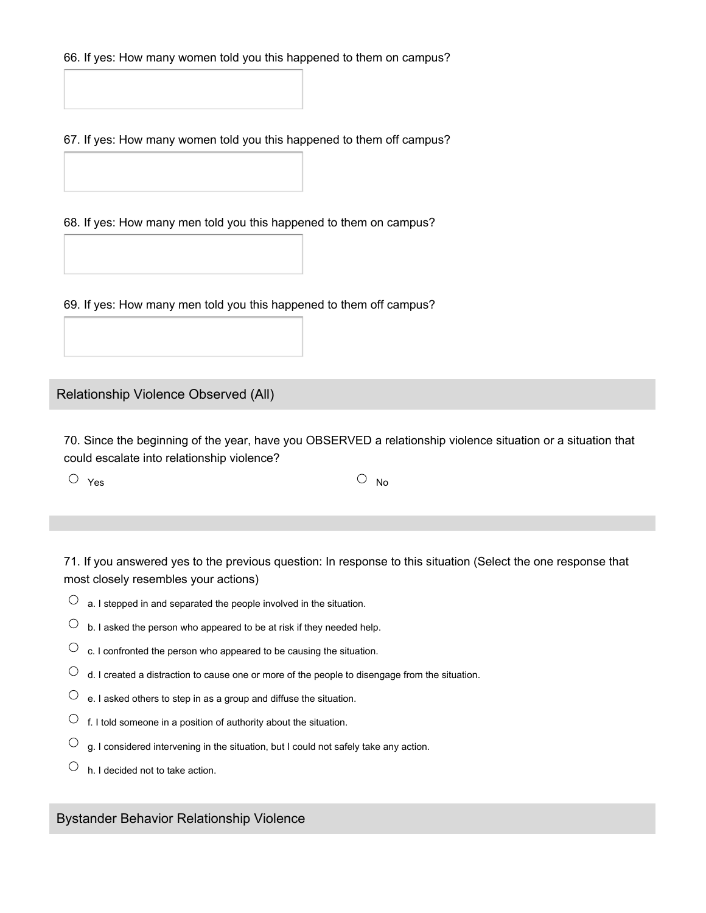66. If yes: How many women told you this happened to them on campus?

67. If yes: How many women told you this happened to them off campus?

68. If yes: How many men told you this happened to them on campus?

69. If yes: How many men told you this happened to them off campus?

Relationship Violence Observed (All)

70. Since the beginning of the year, have you OBSERVED a relationship violence situation or a situation that could escalate into relationship violence?

 $Y$ es  $\cup$  No

71. If you answered yes to the previous question: In response to this situation (Select the one response that most closely resembles your actions)

- $\overline{O}$  a. I stepped in and separated the people involved in the situation.
- $\overline{O}$  b. I asked the person who appeared to be at risk if they needed help.
- $\overline{C}$  c. I confronted the person who appeared to be causing the situation.
- $\overline{O}$  d. I created a distraction to cause one or more of the people to disengage from the situation.
- $\circlearrowright$  e. I asked others to step in as a group and diffuse the situation.
- $\circlearrowright$  f. I told someone in a position of authority about the situation.
- $\bigcirc$ g. I considered intervening in the situation, but I could not safely take any action.
- $\circlearrowright$  h. I decided not to take action.

Bystander Behavior Relationship Violence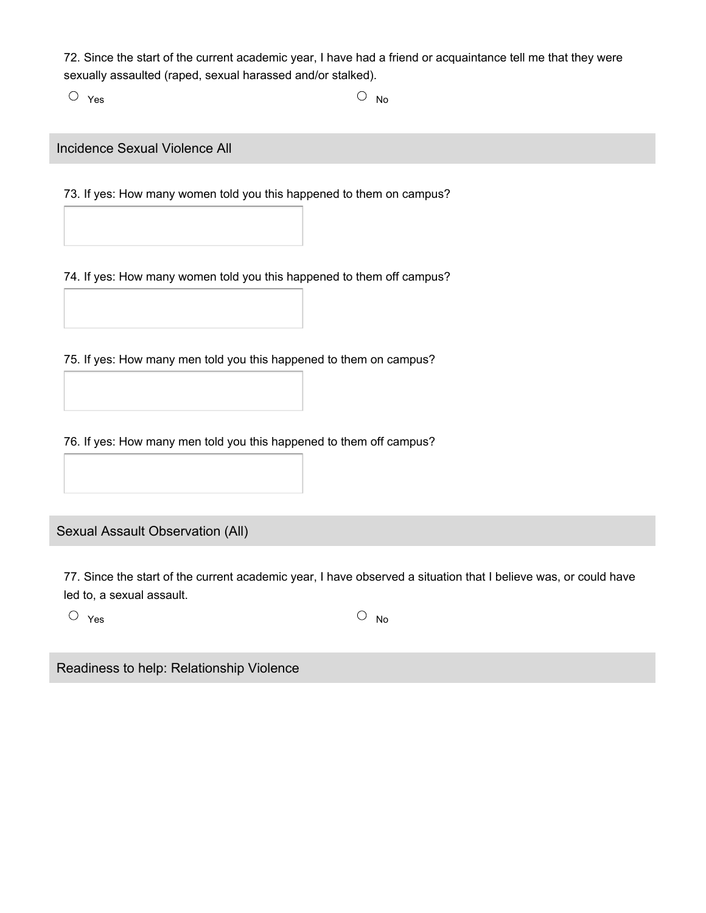72. Since the start of the current academic year, I have had a friend or acquaintance tell me that they were sexually assaulted (raped, sexual harassed and/or stalked).

 $Y$ es  $\cup$  No

Incidence Sexual Violence All

73. If yes: How many women told you this happened to them on campus?

74. If yes: How many women told you this happened to them off campus?

75. If yes: How many men told you this happened to them on campus?

76. If yes: How many men told you this happened to them off campus?

Sexual Assault Observation (All)

77. Since the start of the current academic year, I have observed a situation that I believe was, or could have led to, a sexual assault.

 $Y$ es  $\cup$  No

Readiness to help: Relationship Violence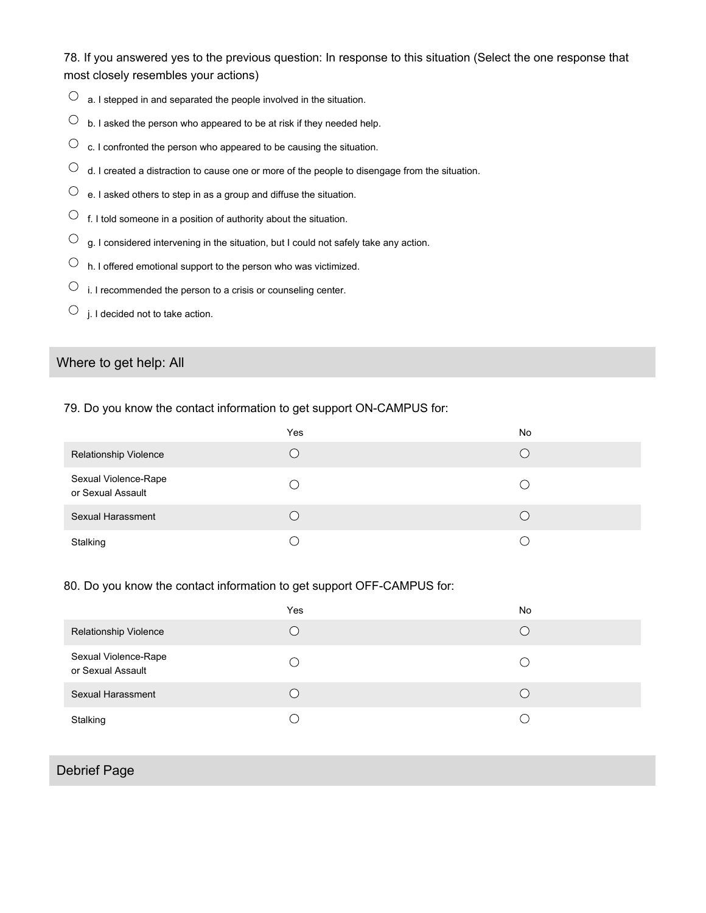78. If you answered yes to the previous question: In response to this situation (Select the one response that most closely resembles your actions)

- $\overline{O}$  a. I stepped in and separated the people involved in the situation.
- $\overline{O}$  b. I asked the person who appeared to be at risk if they needed help.
- $\circlearrowright$  c. I confronted the person who appeared to be causing the situation.
- $\overline{O}$  d. I created a distraction to cause one or more of the people to disengage from the situation.
- $\overline{\text{O}}$  e. I asked others to step in as a group and diffuse the situation.
- $\circlearrowright$  f. I told someone in a position of authority about the situation.
- $\overline{C}$  g. I considered intervening in the situation, but I could not safely take any action.
- $\circlearrowright$  h. I offered emotional support to the person who was victimized.
- $\circlearrowright$  i. I recommended the person to a crisis or counseling center.
- $\circlearrowright$  j. I decided not to take action.

# Where to get help: All

#### 79. Do you know the contact information to get support ON-CAMPUS for:

|                                           | Yes | No |
|-------------------------------------------|-----|----|
| <b>Relationship Violence</b>              |     |    |
| Sexual Violence-Rape<br>or Sexual Assault |     |    |
| Sexual Harassment                         |     |    |
| Stalking                                  |     |    |

#### 80. Do you know the contact information to get support OFF-CAMPUS for:

|                                           | Yes | No |
|-------------------------------------------|-----|----|
| <b>Relationship Violence</b>              |     |    |
| Sexual Violence-Rape<br>or Sexual Assault |     |    |
| Sexual Harassment                         |     |    |
| Stalking                                  |     |    |

# Debrief Page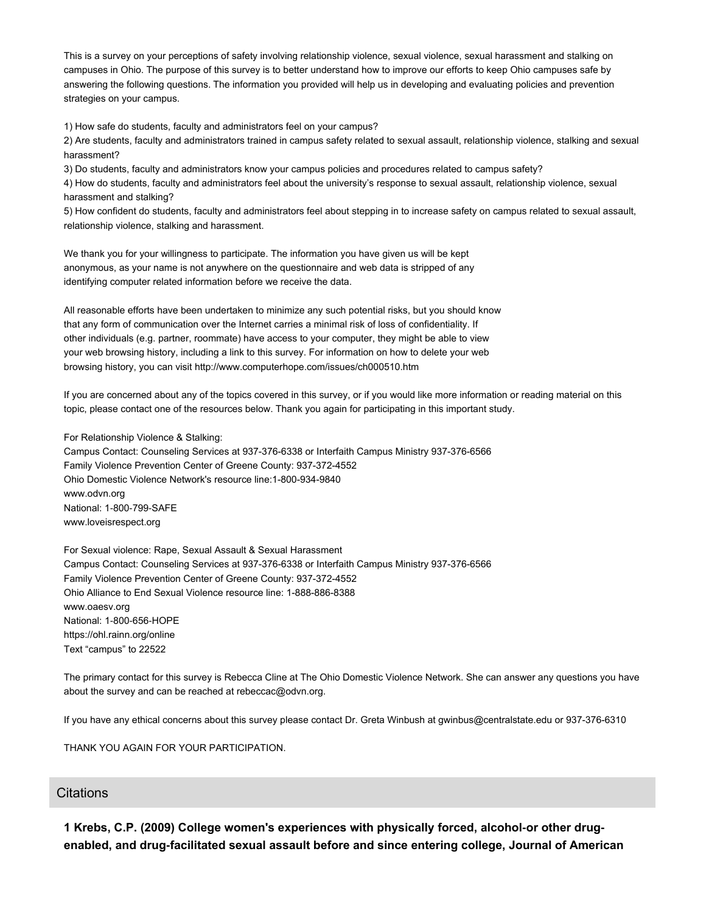This is a survey on your perceptions of safety involving relationship violence, sexual violence, sexual harassment and stalking on campuses in Ohio. The purpose of this survey is to better understand how to improve our efforts to keep Ohio campuses safe by answering the following questions. The information you provided will help us in developing and evaluating policies and prevention strategies on your campus.

1) How safe do students, faculty and administrators feel on your campus?

2) Are students, faculty and administrators trained in campus safety related to sexual assault, relationship violence, stalking and sexual harassment?

3) Do students, faculty and administrators know your campus policies and procedures related to campus safety?

4) How do students, faculty and administrators feel about the university's response to sexual assault, relationship violence, sexual harassment and stalking?

5) How confident do students, faculty and administrators feel about stepping in to increase safety on campus related to sexual assault, relationship violence, stalking and harassment.

We thank you for your willingness to participate. The information you have given us will be kept anonymous, as your name is not anywhere on the questionnaire and web data is stripped of any identifying computer related information before we receive the data.

All reasonable efforts have been undertaken to minimize any such potential risks, but you should know that any form of communication over the Internet carries a minimal risk of loss of confidentiality. If other individuals (e.g. partner, roommate) have access to your computer, they might be able to view your web browsing history, including a link to this survey. For information on how to delete your web browsing history, you can visit http://www.computerhope.com/issues/ch000510.htm

If you are concerned about any of the topics covered in this survey, or if you would like more information or reading material on this topic, please contact one of the resources below. Thank you again for participating in this important study.

For Relationship Violence & Stalking:

Campus Contact: Counseling Services at 937-376-6338 or Interfaith Campus Ministry 937-376-6566 Family Violence Prevention Center of Greene County: 937-372-4552 Ohio Domestic Violence Network's resource line:1-800-934-9840 www.odvn.org National: 1‐800‐799‐SAFE www.loveisrespect.org

For Sexual violence: Rape, Sexual Assault & Sexual Harassment Campus Contact: Counseling Services at 937-376-6338 or Interfaith Campus Ministry 937-376-6566 Family Violence Prevention Center of Greene County: 937-372-4552 Ohio Alliance to End Sexual Violence resource line: 1-888-886-8388 www.oaesv.org National: 1‐800‐656‐HOPE https://ohl.rainn.org/online Text "campus" to 22522

The primary contact for this survey is Rebecca Cline at The Ohio Domestic Violence Network. She can answer any questions you have about the survey and can be reached at rebeccac@odvn.org.

If you have any ethical concerns about this survey please contact Dr. Greta Winbush at gwinbus@centralstate.edu or 937-376-6310

THANK YOU AGAIN FOR YOUR PARTICIPATION.

### **Citations**

**1 Krebs, C.P. (2009) College women's experiences with physically forced, alcohol‐or other drug‐ enabled, and drug‐facilitated sexual assault before and since entering college, Journal of American**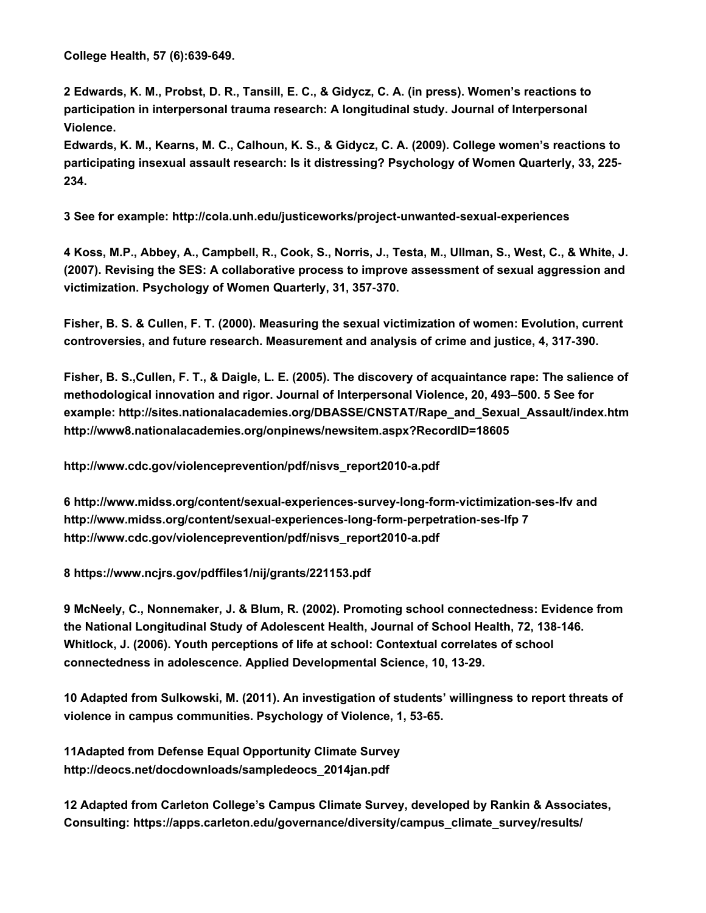**College Health, 57 (6):639‐649.**

2 Edwards, K. M., Probst, D. R., Tansill, E. C., & Gidycz, C. A. (in press). Women's reactions to **participation in interpersonal trauma research: A longitudinal study. Journal of Interpersonal Violence.**

Edwards, K. M., Kearns, M. C., Calhoun, K. S., & Gidycz, C. A. (2009). College women's reactions to **participating insexual assault research: Is it distressing? Psychology of Women Quarterly, 33, 225‐ 234.**

**3 See for example: http://cola.unh.edu/justiceworks/project‐unwanted‐sexual‐experiences**

4 Koss, M.P., Abbey, A., Campbell, R., Cook, S., Norris, J., Testa, M., Ullman, S., West, C., & White, J. **(2007). Revising the SES: A collaborative process to improve assessment of sexual aggression and victimization. Psychology of Women Quarterly, 31, 357‐370.**

**Fisher, B. S. & Cullen, F. T. (2000). Measuring the sexual victimization of women: Evolution, current controversies, and future research. Measurement and analysis of crime and justice, 4, 317‐390.**

Fisher, B. S., Cullen, F. T., & Daigle, L. E. (2005). The discovery of acquaintance rape: The salience of **methodological innovation and rigor. Journal of Interpersonal Violence, 20, 493–500. 5 See for example: http://sites.nationalacademies.org/DBASSE/CNSTAT/Rape\_and\_Sexual\_Assault/index.htm http://www8.nationalacademies.org/onpinews/newsitem.aspx?RecordID=18605**

**http://www.cdc.gov/violenceprevention/pdf/nisvs\_report2010‐a.pdf**

**6 http://www.midss.org/content/sexual‐experiences‐survey‐long‐form‐victimization‐ses‐lfv and http://www.midss.org/content/sexual‐experiences‐long‐form‐perpetration‐ses‐lfp 7 http://www.cdc.gov/violenceprevention/pdf/nisvs\_report2010‐a.pdf**

**8 https://www.ncjrs.gov/pdffiles1/nij/grants/221153.pdf**

**9 McNeely, C., Nonnemaker, J. & Blum, R. (2002). Promoting school connectedness: Evidence from the National Longitudinal Study of Adolescent Health, Journal of School Health, 72, 138‐146. Whitlock, J. (2006). Youth perceptions of life at school: Contextual correlates of school connectedness in adolescence. Applied Developmental Science, 10, 13‐29.**

**10 Adapted from Sulkowski, M. (2011). An investigation of students' willingness to report threats of violence in campus communities. Psychology of Violence, 1, 53‐65.**

**11Adapted from Defense Equal Opportunity Climate Survey http://deocs.net/docdownloads/sampledeocs\_2014jan.pdf**

**12 Adapted from Carleton College's Campus Climate Survey, developed by Rankin & Associates, Consulting: https://apps.carleton.edu/governance/diversity/campus\_climate\_survey/results/**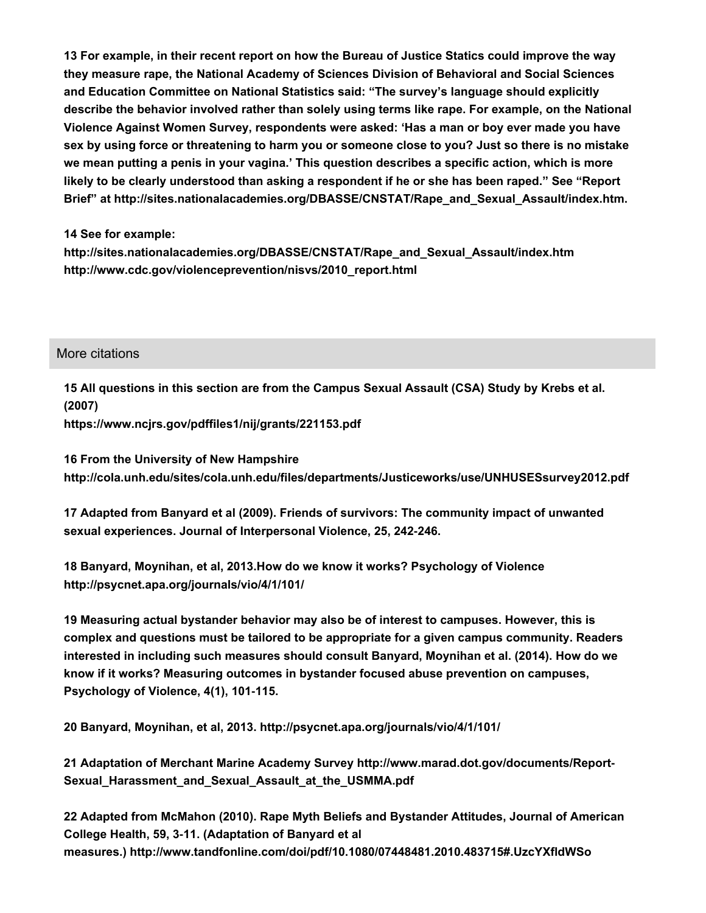**13 For example, in their recent report on how the Bureau of Justice Statics could improve the way they measure rape, the National Academy of Sciences Division of Behavioral and Social Sciences and Education Committee on National Statistics said: "The survey's language should explicitly describe the behavior involved rather than solely using terms like rape. For example, on the National Violence Against Women Survey, respondents were asked: 'Has a man or boy ever made you have** sex by using force or threatening to harm you or someone close to you? Just so there is no mistake **we mean putting a penis in your vagina.' This question describes a specific action, which is more likely to be clearly understood than asking a respondent if he or she has been raped." See "Report Brief" at http://sites.nationalacademies.org/DBASSE/CNSTAT/Rape\_and\_Sexual\_Assault/index.htm.**

**14 See for example:**

**http://sites.nationalacademies.org/DBASSE/CNSTAT/Rape\_and\_Sexual\_Assault/index.htm http://www.cdc.gov/violenceprevention/nisvs/2010\_report.html**

### More citations

**15 All questions in this section are from the Campus Sexual Assault (CSA) Study by Krebs et al. (2007)**

**https://www.ncjrs.gov/pdffiles1/nij/grants/221153.pdf**

**16 From the University of New Hampshire http://cola.unh.edu/sites/cola.unh.edu/files/departments/Justiceworks/use/UNHUSESsurvey2012.pdf**

**17 Adapted from Banyard et al (2009). Friends of survivors: The community impact of unwanted sexual experiences. Journal of Interpersonal Violence, 25, 242‐246.**

**18 Banyard, Moynihan, et al, 2013.How do we know it works? Psychology of Violence http://psycnet.apa.org/journals/vio/4/1/101/**

**19 Measuring actual bystander behavior may also be of interest to campuses. However, this is complex and questions must be tailored to be appropriate for a given campus community. Readers interested in including such measures should consult Banyard, Moynihan et al. (2014). How do we know if it works? Measuring outcomes in bystander focused abuse prevention on campuses, Psychology of Violence, 4(1), 101‐115.**

**20 Banyard, Moynihan, et al, 2013. http://psycnet.apa.org/journals/vio/4/1/101/**

**21 Adaptation of Merchant Marine Academy Survey http://www.marad.dot.gov/documents/Report‐ Sexual\_Harassment\_and\_Sexual\_Assault\_at\_the\_USMMA.pdf**

**22 Adapted from McMahon (2010). Rape Myth Beliefs and Bystander Attitudes, Journal of American College Health, 59, 3‐11. (Adaptation of Banyard et al measures.) http://www.tandfonline.com/doi/pdf/10.1080/07448481.2010.483715#.UzcYXfldWSo**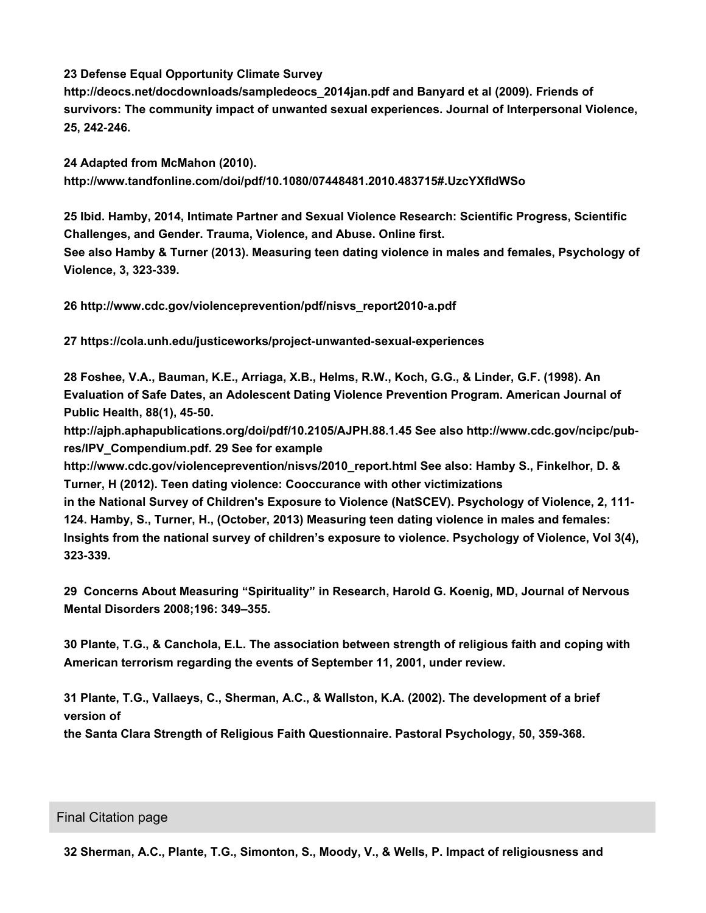**23 Defense Equal Opportunity Climate Survey**

**http://deocs.net/docdownloads/sampledeocs\_2014jan.pdf and Banyard et al (2009). Friends of survivors: The community impact of unwanted sexual experiences. Journal of Interpersonal Violence, 25, 242‐246.**

**24 Adapted from McMahon (2010). http://www.tandfonline.com/doi/pdf/10.1080/07448481.2010.483715#.UzcYXfldWSo**

**25 Ibid. Hamby, 2014, Intimate Partner and Sexual Violence Research: Scientific Progress, Scientific Challenges, and Gender. Trauma, Violence, and Abuse. Online first. See also Hamby & Turner (2013). Measuring teen dating violence in males and females, Psychology of Violence, 3, 323‐339.**

**26 http://www.cdc.gov/violenceprevention/pdf/nisvs\_report2010‐a.pdf**

**27 https://cola.unh.edu/justiceworks/project‐unwanted‐sexual‐experiences**

**28 Foshee, V.A., Bauman, K.E., Arriaga, X.B., Helms, R.W., Koch, G.G., & Linder, G.F. (1998). An Evaluation of Safe Dates, an Adolescent Dating Violence Prevention Program. American Journal of Public Health, 88(1), 45‐50.**

**http://ajph.aphapublications.org/doi/pdf/10.2105/AJPH.88.1.45 See also http://www.cdc.gov/ncipc/pub‐ res/IPV\_Compendium.pdf. 29 See for example**

**http://www.cdc.gov/violenceprevention/nisvs/2010\_report.html See also: Hamby S., Finkelhor, D. & Turner, H (2012). Teen dating violence: Cooccurance with other victimizations**

**in the National Survey of Children's Exposure to Violence (NatSCEV). Psychology of Violence, 2, 111‐ 124. Hamby, S., Turner, H., (October, 2013) Measuring teen dating violence in males and females: Insights from the national survey of children's exposure to violence. Psychology of Violence, Vol 3(4), 323‐339.**

**29 Concerns About Measuring "Spirituality" in Research, Harold G. Koenig, MD, Journal of Nervous Mental Disorders 2008;196: 349–355.**

**30 Plante, T.G., & Canchola, E.L. The association between strength of religious faith and coping with American terrorism regarding the events of September 11, 2001, under review.**

**31 Plante, T.G., Vallaeys, C., Sherman, A.C., & Wallston, K.A. (2002). The development of a brief version of**

**the Santa Clara Strength of Religious Faith Questionnaire. Pastoral Psychology, 50, 359-368.**

#### Final Citation page

**32 Sherman, A.C., Plante, T.G., Simonton, S., Moody, V., & Wells, P. Impact of religiousness and**